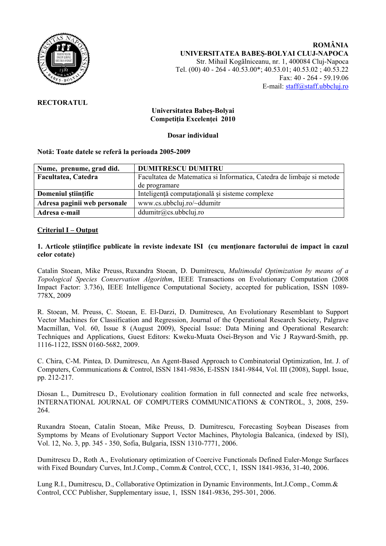

## **RECTORATUL**

## **Universitatea Babeş-Bolyai Competiţia Excelenţei 2010**

**Dosar individual** 

#### **Notă: Toate datele se referă la perioada 2005-2009**

| Nume, prenume, grad did.     | <b>DUMITRESCU DUMITRU</b>                                             |
|------------------------------|-----------------------------------------------------------------------|
| Facultatea, Catedra          | Facultatea de Matematica si Informatica, Catedra de limbaje si metode |
|                              | de programare                                                         |
| Domeniul stiințific          | Inteligență computațională și sisteme complexe                        |
| Adresa paginii web personale | www.cs.ubbcluj.ro/~ddumitr                                            |
| Adresa e-mail                | ddumitr@cs.ubbcluj.ro                                                 |

#### **Criteriul I – Output**

#### **1. Articole ştiinţifice publicate în reviste indexate ISI (cu menţionare factorului de impact în cazul celor cotate)**

Catalin Stoean, Mike Preuss, Ruxandra Stoean, D. Dumitrescu, *Multimodal Optimization by means of a Topological Species Conservation Algorithm*, IEEE Transactions on Evolutionary Computation (2008 Impact Factor: 3.736), IEEE Intelligence Computational Society, accepted for publication, ISSN 1089- 778X, 2009

R. Stoean, M. Preuss, C. Stoean, E. El-Darzi, D. Dumitrescu, An Evolutionary Resemblant to Support Vector Machines for Classification and Regression, Journal of the Operational Research Society, Palgrave Macmillan, Vol. 60, Issue 8 (August 2009), Special Issue: Data Mining and Operational Research: Techniques and Applications, Guest Editors: Kweku-Muata Osei-Bryson and Vic J Rayward-Smith, pp. 1116-1122, ISSN 0160-5682, 2009.

C. Chira, C-M. Pintea, D. Dumitrescu, An Agent-Based Approach to Combinatorial Optimization, Int. J. of Computers, Communications & Control, ISSN 1841-9836, E-ISSN 1841-9844, Vol. III (2008), Suppl. Issue, pp. 212-217.

Diosan L., Dumitrescu D., Evolutionary coalition formation in full connected and scale free networks, INTERNATIONAL JOURNAL OF COMPUTERS COMMUNICATIONS & CONTROL, 3, 2008, 259- 264.

Ruxandra Stoean, Catalin Stoean, Mike Preuss, D. Dumitrescu, Forecasting Soybean Diseases from Symptoms by Means of Evolutionary Support Vector Machines, Phytologia Balcanica, (indexed by ISI), Vol. 12, No. 3, pp. 345 - 350, Sofia, Bulgaria, ISSN 1310-7771, 2006.

Dumitrescu D., Roth A., Evolutionary optimization of Coercive Functionals Defined Euler-Monge Surfaces with Fixed Boundary Curves, Int.J.Comp., Comm.& Control, CCC, 1, ISSN 1841-9836, 31-40, 2006.

Lung R.I., Dumitrescu, D., Collaborative Optimization in Dynamic Environments, Int.J.Comp., Comm.& Control, CCC Publisher, Supplementary issue, 1, ISSN 1841-9836, 295-301, 2006.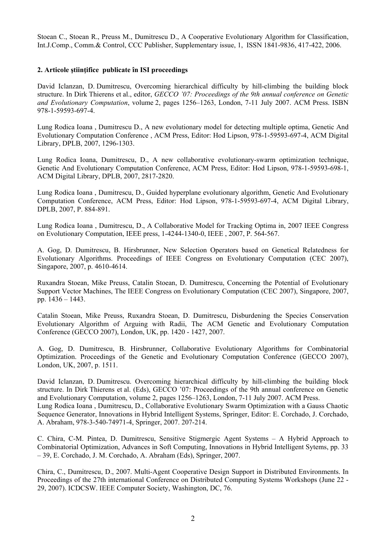Stoean C., Stoean R., Preuss M., Dumitrescu D., A Cooperative Evolutionary Algorithm for Classification, Int.J.Comp., Comm.& Control, CCC Publisher, Supplementary issue, 1, ISSN 1841-9836, 417-422, 2006.

## **2. Articole ştiinţifice publicate în ISI proceedings**

David Iclanzan, D. Dumitrescu, Overcoming hierarchical difficulty by hill-climbing the building block structure. In Dirk Thierens et al., editor, *GECCO '07: Proceedings of the 9th annual conference on Genetic and Evolutionary Computation*, volume 2, pages 1256–1263, London, 7-11 July 2007. ACM Press. ISBN 978-1-59593-697-4.

Lung Rodica Ioana , Dumitrescu D., A new evolutionary model for detecting multiple optima, Genetic And Evolutionary Computation Conference , ACM Press, Editor: Hod Lipson, 978-1-59593-697-4, ACM Digital Library, DPLB, 2007, 1296-1303.

Lung Rodica Ioana, Dumitrescu, D., A new collaborative evolutionary-swarm optimization technique, Genetic And Evolutionary Computation Conference, ACM Press, Editor: Hod Lipson, 978-1-59593-698-1, ACM Digital Library, DPLB, 2007, 2817-2820.

Lung Rodica Ioana , Dumitrescu, D., Guided hyperplane evolutionary algorithm, Genetic And Evolutionary Computation Conference, ACM Press, Editor: Hod Lipson, 978-1-59593-697-4, ACM Digital Library, DPLB, 2007, P. 884-891.

Lung Rodica Ioana , Dumitrescu, D., A Collaborative Model for Tracking Optima in, 2007 IEEE Congress on Evolutionary Computation, IEEE press, 1-4244-1340-0, IEEE , 2007, P. 564-567.

A. Gog, D. Dumitrescu, B. Hirsbrunner, New Selection Operators based on Genetical Relatedness for Evolutionary Algorithms. Proceedings of IEEE Congress on Evolutionary Computation (CEC 2007), Singapore, 2007, p. 4610-4614.

Ruxandra Stoean, Mike Preuss, Catalin Stoean, D. Dumitrescu, Concerning the Potential of Evolutionary Support Vector Machines, The IEEE Congress on Evolutionary Computation (CEC 2007), Singapore, 2007, pp. 1436 – 1443.

Catalin Stoean, Mike Preuss, Ruxandra Stoean, D. Dumitrescu, Disburdening the Species Conservation Evolutionary Algorithm of Arguing with Radii, The ACM Genetic and Evolutionary Computation Conference (GECCO 2007), London, UK, pp. 1420 - 1427, 2007.

A. Gog, D. Dumitrescu, B. Hirsbrunner, Collaborative Evolutionary Algorithms for Combinatorial Optimization. Proceedings of the Genetic and Evolutionary Computation Conference (GECCO 2007), London, UK, 2007, p. 1511.

David Iclanzan, D. Dumitrescu. Overcoming hierarchical difficulty by hill-climbing the building block structure. In Dirk Thierens et al. (Eds), GECCO '07: Proceedings of the 9th annual conference on Genetic and Evolutionary Computation, volume 2, pages 1256–1263, London, 7-11 July 2007. ACM Press. Lung Rodica Ioana , Dumitrescu, D., Collaborative Evolutionary Swarm Optimization with a Gauss Chaotic Sequence Generator, Innovations in Hybrid Intelligent Systems, Springer, Editor: E. Corchado, J. Corchado, A. Abraham, 978-3-540-74971-4, Springer, 2007. 207-214.

C. Chira, C-M. Pintea, D. Dumitrescu, Sensitive Stigmergic Agent Systems – A Hybrid Approach to Combinatorial Optimization, Advances in Soft Computing, Innovations in Hybrid Intelligent Sytems, pp. 33 – 39, E. Corchado, J. M. Corchado, A. Abraham (Eds), Springer, 2007.

Chira, C., Dumitrescu, D., 2007. Multi-Agent Cooperative Design Support in Distributed Environments. In Proceedings of the 27th international Conference on Distributed Computing Systems Workshops (June 22 - 29, 2007). ICDCSW. IEEE Computer Society, Washington, DC, 76.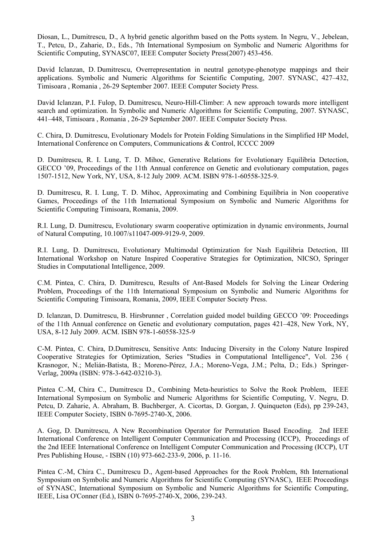Diosan, L., Dumitrescu, D., A hybrid genetic algorithm based on the Potts system. In Negru, V., Jebelean, T., Petcu, D., Zaharie, D., Eds., 7th International Symposium on Symbolic and Numeric Algorithms for Scientific Computing, SYNASC07, IEEE Computer Society Press(2007) 453-456.

David Iclanzan, D. Dumitrescu, Overrepresentation in neutral genotype-phenotype mappings and their applications. Symbolic and Numeric Algorithms for Scientific Computing, 2007. SYNASC, 427–432, Timisoara , Romania , 26-29 September 2007. IEEE Computer Society Press.

David Iclanzan, P.I. Fulop, D. Dumitrescu, Neuro-Hill-Climber: A new approach towards more intelligent search and optimization. In Symbolic and Numeric Algorithms for Scientific Computing, 2007. SYNASC, 441–448, Timisoara , Romania , 26-29 September 2007. IEEE Computer Society Press.

C. Chira, D. Dumitrescu, Evolutionary Models for Protein Folding Simulations in the Simplified HP Model, International Conference on Computers, Communications & Control, ICCCC 2009

D. Dumitrescu, R. I. Lung, T. D. Mihoc, Generative Relations for Evolutionary Equilibria Detection, GECCO '09, Proceedings of the 11th Annual conference on Genetic and evolutionary computation, pages 1507-1512, New York, NY, USA, 8-12 July 2009. ACM. ISBN 978-1-60558-325-9.

D. Dumitrescu, R. I. Lung, T. D. Mihoc, Approximating and Combining Equilibria in Non cooperative Games, Proceedings of the 11th International Symposium on Symbolic and Numeric Algorithms for Scientific Computing Timisoara, Romania, 2009.

R.I. Lung, D. Dumitrescu, Evolutionary swarm cooperative optimization in dynamic environments, Journal of Natural Computing, 10.1007/s11047-009-9129-9, 2009.

R.I. Lung, D. Dumitrescu, Evolutionary Multimodal Optimization for Nash Equilibria Detection, III International Workshop on Nature Inspired Cooperative Strategies for Optimization, NICSO, Springer Studies in Computational Intelligence, 2009.

C.M. Pintea, C. Chira, D. Dumitrescu, Results of Ant-Based Models for Solving the Linear Ordering Problem, Proceedings of the 11th International Symposium on Symbolic and Numeric Algorithms for Scientific Computing Timisoara, Romania, 2009, IEEE Computer Society Press.

D. Iclanzan, D. Dumitrescu, B. Hirsbrunner , Correlation guided model building GECCO '09: Proceedings of the 11th Annual conference on Genetic and evolutionary computation, pages 421–428, New York, NY, USA, 8-12 July 2009. ACM. ISBN 978-1-60558-325-9

C-M. Pintea, C. Chira, D.Dumitrescu, Sensitive Ants: Inducing Diversity in the Colony Nature Inspired Cooperative Strategies for Optimization, Series "Studies in Computational Intelligence", Vol. 236 ( Krasnogor, N.; Melián-Batista, B.; Moreno-Pérez, J.A.; Moreno-Vega, J.M.; Pelta, D.; Eds.) Springer-Verlag, 2009a (ISBN: 978-3-642-03210-3).

Pintea C.-M, Chira C., Dumitrescu D., Combining Meta-heuristics to Solve the Rook Problem, IEEE International Symposium on Symbolic and Numeric Algorithms for Scientific Computing, V. Negru, D. Petcu, D. Zaharie, A. Abraham, B. Buchberger, A. Cicortas, D. Gorgan, J. Quinqueton (Eds), pp 239-243, IEEE Computer Society, ISBN 0-7695-2740-X, 2006.

A. Gog, D. Dumitrescu, A New Recombination Operator for Permutation Based Encoding. 2nd IEEE International Conference on Intelligent Computer Communication and Processing (ICCP), Proceedings of the 2nd IEEE International Conference on Intelligent Computer Communication and Processing (ICCP), UT Pres Publishing House, - ISBN (10) 973-662-233-9, 2006, p. 11-16.

Pintea C.-M, Chira C., Dumitrescu D., Agent-based Approaches for the Rook Problem, 8th International Symposium on Symbolic and Numeric Algorithms for Scientific Computing (SYNASC), IEEE Proceedings of SYNASC, International Symposium on Symbolic and Numeric Algorithms for Scientific Computing, IEEE, Lisa O'Conner (Ed.), ISBN 0-7695-2740-X, 2006, 239-243.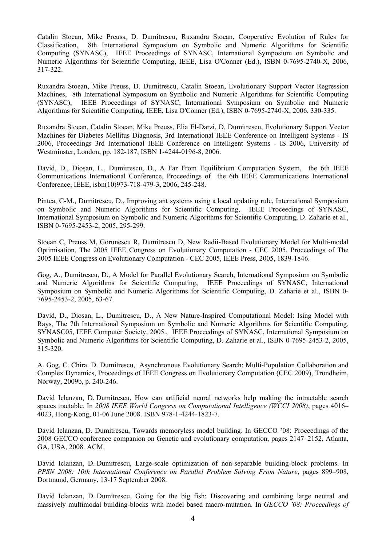Catalin Stoean, Mike Preuss, D. Dumitrescu, Ruxandra Stoean, Cooperative Evolution of Rules for Classification, 8th International Symposium on Symbolic and Numeric Algorithms for Scientific Computing (SYNASC), IEEE Proceedings of SYNASC, International Symposium on Symbolic and Numeric Algorithms for Scientific Computing, IEEE, Lisa O'Conner (Ed.), ISBN 0-7695-2740-X, 2006, 317-322.

Ruxandra Stoean, Mike Preuss, D. Dumitrescu, Catalin Stoean, Evolutionary Support Vector Regression Machines, 8th International Symposium on Symbolic and Numeric Algorithms for Scientific Computing (SYNASC), IEEE Proceedings of SYNASC, International Symposium on Symbolic and Numeric Algorithms for Scientific Computing, IEEE, Lisa O'Conner (Ed.), ISBN 0-7695-2740-X, 2006, 330-335.

Ruxandra Stoean, Catalin Stoean, Mike Preuss, Elia El-Darzi, D. Dumitrescu, Evolutionary Support Vector Machines for Diabetes Mellitus Diagnosis, 3rd International IEEE Conference on Intelligent Systems - IS 2006, Proceedings 3rd International IEEE Conference on Intelligent Systems - IS 2006, University of Westminster, London, pp. 182-187, ISBN 1-4244-0196-8, 2006.

David, D., Dioşan, L., Dumitrescu, D., A Far From Equilibrium Computation System, the 6th IEEE Communications International Conference, Proceedings of the 6th IEEE Communications International Conference, IEEE, isbn(10)973-718-479-3, 2006, 245-248.

Pintea, C-M., Dumitrescu, D., Improving ant systems using a local updating rule, International Symposium on Symbolic and Numeric Algorithms for Scientific Computing, IEEE Proceedings of SYNASC, International Symposium on Symbolic and Numeric Algorithms for Scientific Computing, D. Zaharie et al., ISBN 0-7695-2453-2, 2005, 295-299.

Stoean C, Preuss M, Gorunescu R, Dumitrescu D, New Radii-Based Evolutionary Model for Multi-modal Optimisation, The 2005 IEEE Congress on Evolutionary Computation - CEC 2005, Proceedings of The 2005 IEEE Congress on Evolutionary Computation - CEC 2005, IEEE Press, 2005, 1839-1846.

Gog, A., Dumitrescu, D., A Model for Parallel Evolutionary Search, International Symposium on Symbolic and Numeric Algorithms for Scientific Computing, IEEE Proceedings of SYNASC, International Symposium on Symbolic and Numeric Algorithms for Scientific Computing, D. Zaharie et al., ISBN 0- 7695-2453-2, 2005, 63-67.

David, D., Diosan, L., Dumitrescu, D., A New Nature-Inspired Computational Model: Ising Model with Rays, The 7th International Symposium on Symbolic and Numeric Algorithms for Scientific Computing, SYNASC05, IEEE Computer Society, 2005., IEEE Proceedings of SYNASC, International Symposium on Symbolic and Numeric Algorithms for Scientific Computing, D. Zaharie et al., ISBN 0-7695-2453-2, 2005, 315-320.

A. Gog, C. Chira. D. Dumitrescu, Asynchronous Evolutionary Search: Multi-Population Collaboration and Complex Dynamics, Proceedings of IEEE Congress on Evolutionary Computation (CEC 2009), Trondheim, Norway, 2009b, p. 240-246.

David Iclanzan, D. Dumitrescu, How can artificial neural networks help making the intractable search spaces tractable. In *2008 IEEE World Congress on Computational Intelligence (WCCI 2008)*, pages 4016– 4023, Hong-Kong, 01-06 June 2008. ISBN 978-1-4244-1823-7.

David Iclanzan, D. Dumitrescu, Towards memoryless model building. In GECCO '08: Proceedings of the 2008 GECCO conference companion on Genetic and evolutionary computation, pages 2147–2152, Atlanta, GA, USA, 2008. ACM.

David Iclanzan, D. Dumitrescu, Large-scale optimization of non-separable building-block problems. In *PPSN 2008: 10th International Conference on Parallel Problem Solving From Nature*, pages 899–908, Dortmund, Germany, 13-17 September 2008.

David Iclanzan, D. Dumitrescu, Going for the big fish: Discovering and combining large neutral and massively multimodal building-blocks with model based macro-mutation. In *GECCO '08: Proceedings of*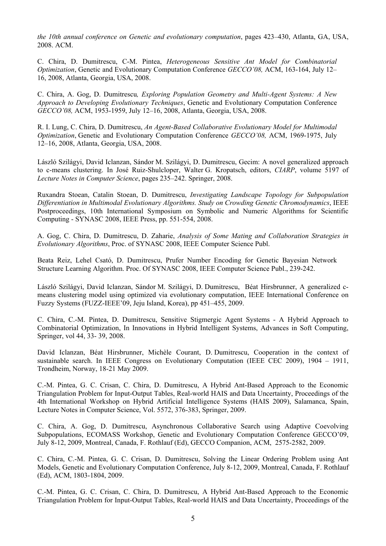*the 10th annual conference on Genetic and evolutionary computation*, pages 423–430, Atlanta, GA, USA, 2008. ACM.

C. Chira, D. Dumitrescu, C-M. Pintea, *Heterogeneous Sensitive Ant Model for Combinatorial Optimization*, Genetic and Evolutionary Computation Conference *GECCO'08,* ACM, 163-164, July 12– 16, 2008, Atlanta, Georgia, USA, 2008.

C. Chira, A. Gog, D. Dumitrescu*, Exploring Population Geometry and Multi-Agent Systems: A New Approach to Developing Evolutionary Techniques*, Genetic and Evolutionary Computation Conference *GECCO'08,* ACM, 1953-1959, July 12–16, 2008, Atlanta, Georgia, USA, 2008.

R. I. Lung, C. Chira, D. Dumitrescu, *An Agent-Based Collaborative Evolutionary Model for Multimodal Optimization*, Genetic and Evolutionary Computation Conference *GECCO'08,* ACM, 1969-1975, July 12–16, 2008, Atlanta, Georgia, USA, 2008.

László Szilágyi, David Iclanzan, Sándor M. Szilágyi, D. Dumitrescu, Gecim: A novel generalized approach to c-means clustering. In José Ruiz-Shulcloper, Walter G. Kropatsch, editors, *CIARP*, volume 5197 of *Lecture Notes in Computer Science*, pages 235–242. Springer, 2008.

Ruxandra Stoean, Catalin Stoean, D. Dumitrescu, *Investigating Landscape Topology for Subpopulation Differentiation in Multimodal Evolutionary Algorithms. Study on Crowding Genetic Chromodynamics*, IEEE Postproceedings, 10th International Symposium on Symbolic and Numeric Algorithms for Scientific Computing - SYNASC 2008, IEEE Press, pp. 551-554, 2008.

A. Gog, C. Chira, D. Dumitrescu, D. Zaharie, *Analysis of Some Mating and Collaboration Strategies in Evolutionary Algorithms*, Proc. of SYNASC 2008, IEEE Computer Science Publ.

Beata Reiz, [Lehel Csató](http://www.informatik.uni-trier.de/%7Eley/db/indices/a-tree/c/Csat=oacute=:Lehel.html), [D. Dumitrescu,](http://www.informatik.uni-trier.de/%7Eley/db/indices/a-tree/d/Dumitrescu:Dan.html) Prufer Number Encoding for Genetic Bayesian Network Structure Learning Algorithm. Proc. Of [SYNASC 2008,](http://www.informatik.uni-trier.de/~ley/db/conf/synasc/synasc2008.html#ReizCD08) IEEE Computer Science Publ., 239-242.

László Szilágyi, David Iclanzan, Sándor M. Szilágyi, D. Dumitrescu, Béat Hirsbrunner, A generalized cmeans clustering model using optimized via evolutionary computation, IEEE International Conference on Fuzzy Systems (FUZZ-IEEE'09, Jeju Island, Korea), pp 451–455, 2009.

C. Chira, C.-M. Pintea, D. Dumitrescu, Sensitive Stigmergic Agent Systems - A Hybrid Approach to Combinatorial Optimization, In Innovations in Hybrid Intelligent Systems, Advances in Soft Computing, Springer, vol 44, 33- 39, 2008.

David Iclanzan, Béat Hirsbrunner, Michèle Courant, D. Dumitrescu, Cooperation in the context of sustainable search. In IEEE Congress on Evolutionary Computation (IEEE CEC 2009), 1904 – 1911, Trondheim, Norway, 18-21 May 2009.

C.-M. Pintea, G. C. Crisan, C. Chira, D. Dumitrescu, A Hybrid Ant-Based Approach to the Economic Triangulation Problem for Input-Output Tables, Real-world HAIS and Data Uncertainty, Proceedings of the 4th International Workshop on Hybrid Artificial Intelligence Systems (HAIS 2009), Salamanca, Spain, Lecture Notes in Computer Science, Vol. 5572, 376-383, Springer, 2009.

C. Chira, A. Gog, D. Dumitrescu, Asynchronous Collaborative Search using Adaptive Coevolving Subpopulations, ECOMASS Workshop, Genetic and Evolutionary Computation Conference GECCO'09, July 8-12, 2009, Montreal, Canada, F. Rothlauf (Ed), GECCO Companion, ACM, 2575-2582, 2009.

C. Chira, C.-M. Pintea, G. C. Crisan, D. Dumitrescu, Solving the Linear Ordering Problem using Ant Models, Genetic and Evolutionary Computation Conference, July 8-12, 2009, Montreal, Canada, F. Rothlauf (Ed), ACM, 1803-1804, 2009.

C.-M. Pintea, G. C. Crisan, C. Chira, D. Dumitrescu, A Hybrid Ant-Based Approach to the Economic Triangulation Problem for Input-Output Tables, Real-world HAIS and Data Uncertainty, Proceedings of the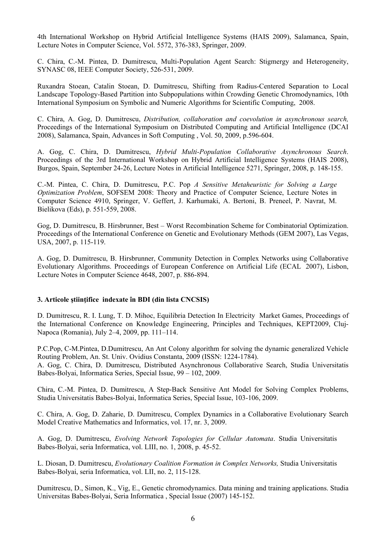4th International Workshop on Hybrid Artificial Intelligence Systems (HAIS 2009), Salamanca, Spain, Lecture Notes in Computer Science, Vol. 5572, 376-383, Springer, 2009.

C. Chira, C.-M. Pintea, D. Dumitrescu, Multi-Population Agent Search: Stigmergy and Heterogeneity, SYNASC 08, IEEE Computer Society, 526-531, 2009.

Ruxandra Stoean, Catalin Stoean, D. Dumitrescu, Shifting from Radius-Centered Separation to Local Landscape Topology-Based Partition into Subpopulations within Crowding Genetic Chromodynamics, 10th International Symposium on Symbolic and Numeric Algorithms for Scientific Computing, 2008.

C. Chira, A. Gog, D. Dumitrescu, *Distribution, collaboration and coevolution in asynchronous search,* Proceedings of the International Symposium on Distributed Computing and Artificial Intelligence (DCAI 2008), Salamanca, Spain, Advances in Soft Computing , Vol. 50, 2009, p.596-604.

A. Gog, C. Chira, D. Dumitrescu, *Hybrid Multi-Population Collaborative Asynchronous Search*. Proceedings of the 3rd International Workshop on Hybrid Artificial Intelligence Systems (HAIS 2008), Burgos, Spain, September 24-26, Lecture Notes in Artificial Intelligence 5271, Springer, 2008, p. 148-155.

C.-M. Pintea, C. Chira, D. Dumitrescu, P.C. Pop *A Sensitive Metaheuristic for Solving a Large Optimization Problem*, SOFSEM 2008: Theory and Practice of Computer Science, Lecture Notes in Computer Science 4910, Springer, V. Geffert, J. Karhumaki, A. Bertoni, B. Preneel, P. Navrat, M. Bielikova (Eds), p. 551-559, 2008.

Gog, D. Dumitrescu, B. Hirsbrunner, Best – Worst Recombination Scheme for Combinatorial Optimization. Proceedings of the International Conference on Genetic and Evolutionary Methods (GEM 2007), Las Vegas, USA, 2007, p. 115-119.

A. Gog, D. Dumitrescu, B. Hirsbrunner, Community Detection in Complex Networks using Collaborative Evolutionary Algorithms. Proceedings of European Conference on Artificial Life (ECAL 2007), Lisbon, Lecture Notes in Computer Science 4648, 2007, p. 886-894.

#### **3. Articole ştiinţifice indexate în BDI (din lista CNCSIS)**

D. Dumitrescu, R. I. Lung, T. D. Mihoc, Equilibria Detection In Electricity Market Games, Proceedings of the International Conference on Knowledge Engineering, Principles and Techniques, KEPT2009, Cluj-Napoca (Romania), July 2–4, 2009, pp. 111–114.

P.C.Pop, C-M.Pintea, D.Dumitrescu, An Ant Colony algorithm for solving the dynamic generalized Vehicle Routing Problem, An. St. Univ. Ovidius Constanta, 2009 (ISSN: 1224-1784). A. Gog, C. Chira, D. Dumitrescu, Distributed Asynchronous Collaborative Search, Studia Universitatis Babes-Bolyai, Informatica Series, Special Issue, 99 – 102, 2009.

Chira, C.-M. Pintea, D. Dumitrescu, A Step-Back Sensitive Ant Model for Solving Complex Problems, Studia Universitatis Babes-Bolyai, Informatica Series, Special Issue, 103-106, 2009.

C. Chira, A. Gog, D. Zaharie, D. Dumitrescu, Complex Dynamics in a Collaborative Evolutionary Search Model Creative Mathematics and Informatics, vol. 17, nr. 3, 2009.

A. Gog, D. Dumitrescu, *Evolving Network Topologies for Cellular Automata*. Studia Universitatis Babes-Bolyai, seria Informatica, vol. LIII, no. 1, 2008, p. 45-52.

L. Diosan, D. Dumitrescu, *Evolutionary Coalition Formation in Complex Networks,* Studia Universitatis Babes-Bolyai, seria Informatica, vol. LII, no. 2, 115-128.

Dumitrescu, D., Simon, K., Vig, E., Genetic chromodynamics. Data mining and training applications. Studia Universitas Babes-Bolyai, Seria Informatica , Special Issue (2007) 145-152.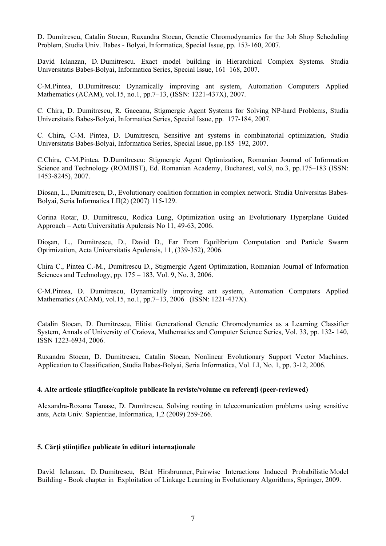D. Dumitrescu, Catalin Stoean, Ruxandra Stoean, Genetic Chromodynamics for the Job Shop Scheduling Problem, Studia Univ. Babes - Bolyai, Informatica, Special Issue, pp. 153-160, 2007.

David Iclanzan, D. Dumitrescu. Exact model building in Hierarchical Complex Systems. Studia Universitatis Babes-Bolyai, Informatica Series, Special Issue, 161–168, 2007.

C-M.Pintea, D.Dumitrescu: Dynamically improving ant system, Automation Computers Applied Mathematics (ACAM), vol.15, no.1, pp.7–13, (ISSN: 1221-437X), 2007.

C. Chira, D. Dumitrescu, R. Gaceanu, Stigmergic Agent Systems for Solving NP-hard Problems, Studia Universitatis Babes-Bolyai, Informatica Series, Special Issue, pp. 177-184, 2007.

C. Chira, C-M. Pintea, D. Dumitrescu, Sensitive ant systems in combinatorial optimization, Studia Universitatis Babes-Bolyai, Informatica Series, Special Issue, pp.185–192, 2007.

C.Chira, C-M.Pintea, D.Dumitrescu: Stigmergic Agent Optimization, Romanian Journal of Information Science and Technology (ROMJIST), Ed. Romanian Academy, Bucharest, vol.9, no.3, pp.175–183 (ISSN: 1453-8245), 2007.

Diosan, L., Dumitrescu, D., Evolutionary coalition formation in complex network. Studia Universitas Babes-Bolyai, Seria Informatica LII(2) (2007) 115-129.

Corina Rotar, D. Dumitrescu, Rodica Lung, Optimization using an Evolutionary Hyperplane Guided Approach – Acta Universitatis Apulensis No 11, 49-63, 2006.

Dioşan, L., Dumitrescu, D., David D., Far From Equilibrium Computation and Particle Swarm Optimization, Acta Universitatis Apulensis, 11, (339-352), 2006.

Chira C., Pintea C.-M., Dumitrescu D., Stigmergic Agent Optimization, Romanian Journal of Information Sciences and Technology, pp. 175 – 183, Vol. 9, No. 3, 2006.

C-M.Pintea, D. Dumitrescu, Dynamically improving ant system, Automation Computers Applied Mathematics (ACAM), vol.15, no.1, pp.7–13, 2006 (ISSN: 1221-437X).

Catalin Stoean, D. Dumitrescu, Elitist Generational Genetic Chromodynamics as a Learning Classifier System, Annals of University of Craiova, Mathematics and Computer Science Series, Vol. 33, pp. 132- 140, ISSN 1223-6934, 2006.

Ruxandra Stoean, D. Dumitrescu, Catalin Stoean, Nonlinear Evolutionary Support Vector Machines. Application to Classification, Studia Babes-Bolyai, Seria Informatica, Vol. LI, No. 1, pp. 3-12, 2006.

#### **4. Alte articole ştiinţifice/capitole publicate în reviste/volume cu referenţi (peer-reviewed)**

Alexandra-Roxana Tanase, D. Dumitrescu, Solving routing in telecomunication problems using sensitive ants, Acta Univ. Sapientiae, Informatica, 1,2 (2009) 259-266.

## **5. Cărţi ştiinţifice publicate în edituri internaţionale**

David Iclanzan, D. Dumitrescu, Béat Hirsbrunner, Pairwise Interactions Induced Probabilistic Model Building - Book chapter in Exploitation of Linkage Learning in Evolutionary Algorithms, Springer, 2009.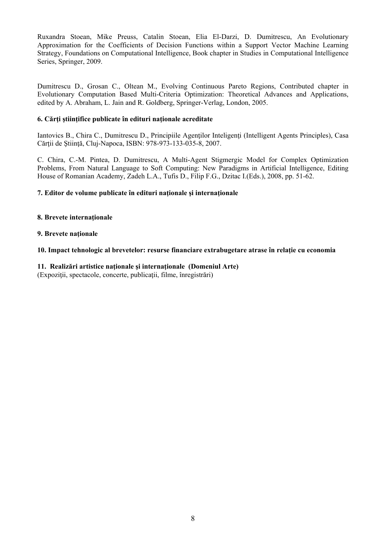Ruxandra Stoean, Mike Preuss, Catalin Stoean, Elia El-Darzi, D. Dumitrescu, An Evolutionary Approximation for the Coefficients of Decision Functions within a Support Vector Machine Learning Strategy, Foundations on Computational Intelligence, Book chapter in Studies in Computational Intelligence Series, Springer, 2009.

Dumitrescu D., Grosan C., Oltean M., [Evolving Continuous Pareto Regions,](http://www.cs.ubbcluj.ro/%7Ecgrosan/micropareto.pdf) Contributed chapter in Evolutionary Computation Based Multi-Criteria Optimization: Theoretical Advances and Applications, edited by A. Abraham, L. Jain and R. Goldberg, Springer-Verlag, London, 2005.

## **6. Cărţi ştiinţifice publicate în edituri naţionale acreditate**

Iantovics B., Chira C., Dumitrescu D., Principiile Agenților Inteligenți (Intelligent Agents Principles), Casa Cărţii de Ştiinţă, Cluj-Napoca, ISBN: 978-973-133-035-8, 2007.

C. Chira, C.-M. Pintea, D. Dumitrescu, A Multi-Agent Stigmergic Model for Complex Optimization Problems, From Natural Language to Soft Computing: New Paradigms in Artificial Intelligence, Editing House of Romanian Academy, Zadeh L.A., Tufis D., Filip F.G., Dzitac I.(Eds.), 2008, pp. 51-62.

## **7. Editor de volume publicate în edituri naţionale şi internaţionale**

## **8. Brevete internaţionale**

#### **9. Brevete naţionale**

## **10. Impact tehnologic al brevetelor: resurse financiare extrabugetare atrase în relaţie cu economia**

## **11. Realizări artistice naţionale şi internaţionale (Domeniul Arte)**

(Expoziţii, spectacole, concerte, publicaţii, filme, înregistrări)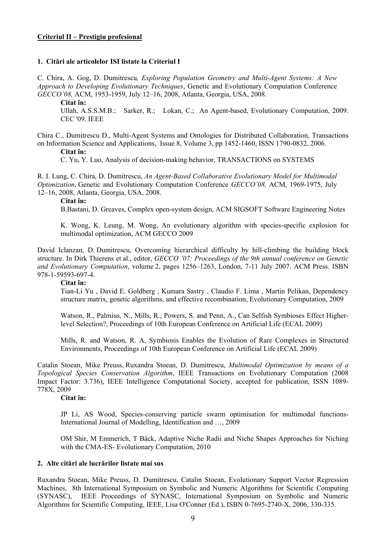## **Criteriul II – Prestigiu profesional**

#### **1. Citări ale articolelor ISI listate la Criteriul I**

C. Chira, A. Gog, D. Dumitrescu*, Exploring Population Geometry and Multi-Agent Systems: A New Approach to Developing Evolutionary Techniques*, Genetic and Evolutionary Computation Conference *GECCO'08,* ACM, 1953-1959, July 12–16, 2008, Atlanta, Georgia, USA, 2008.

#### **Citat în:**

Ullah, A.S.S.M.B.; Sarker, R.; Lokan, C.; An Agent-based, Evolutionary Computation, 2009. CEC '09. IEEE

Chira C., Dumitrescu D., Multi-Agent Systems and Ontologies for Distributed Collaboration, Transactions on Information Science and Applications, Issue 8, Volume 3, pp 1452-1460, ISSN 1790-0832, 2006.

#### **Citat în:**

C. Yu, Y. Luo, Analysis of decision-making behavior, TRANSACTIONS on SYSTEMS

R. I. Lung, C. Chira, D. Dumitrescu, *An Agent-Based Collaborative Evolutionary Model for Multimodal Optimization*, Genetic and Evolutionary Computation Conference *GECCO'08,* ACM, 1969-1975, July 12–16, 2008, Atlanta, Georgia, USA, 2008.

#### **Citat în:**

B.Bastani, D. Greaves, Complex open-system design, ACM SIGSOFT Software Engineering Notes

K. Wong, K. Leung, M. Wong, An evolutionary algorithm with species-specific explosion for multimodal optimization, ACM GECCO 2009

David Iclanzan, D. Dumitrescu, Overcoming hierarchical difficulty by hill-climbing the building block structure. In Dirk Thierens et al., editor, *GECCO '07: Proceedings of the 9th annual conference on Genetic and Evolutionary Computation*, volume 2, pages 1256–1263, London, 7-11 July 2007. ACM Press. ISBN 978-1-59593-697-4.

### **Citat în:**

Tian-Li Yu , David E. Goldberg , Kumara Sastry , Claudio F. Lima , Martin Pelikan, Dependency structure matrix, genetic algorithms, and effective recombination, Evolutionary Computation, 2009

Watson, R., Palmius, N., Mills, R., Powers, S. and Penn, A., Can Selfish Symbioses Effect Higherlevel Selection?, Proceedings of 10th European Conference on Artificial Life (ECAL 2009)

Mills, R. and Watson, R. A, Symbiosis Enables the Evolution of Rare Complexes in Structured Environments, Proceedings of 10th European Conference on Artificial Life (ECAL 2009)

Catalin Stoean, Mike Preuss, Ruxandra Stoean, D. Dumitrescu, *Multimodal Optimization by means of a Topological Species Conservation Algorithm*, IEEE Transactions on Evolutionary Computation (2008 Impact Factor: 3.736), IEEE Intelligence Computational Society, accepted for publication, ISSN 1089- 778X, 2009

## **Citat în:**

JP Li, AS Wood, [Species-conserving particle swarm optimisation for multimodal functions](http://inderscience.metapress.com/index/DW6517T026643577.pdf)-International Journal of Modelling, Identification and …, 2009

OM Shir, M Emmerich, T Bäck, [Adaptive Niche Radii and Niche Shapes Approaches for Niching](http://www.mitpressjournals.org/doi/abs/10.1162/evco.2010.18.1.18104)  [with the CMA-ES-](http://www.mitpressjournals.org/doi/abs/10.1162/evco.2010.18.1.18104) Evolutionary Computation, 2010

#### **2. Alte citări ale lucrărilor listate mai sus**

Ruxandra Stoean, Mike Preuss, D. Dumitrescu, Catalin Stoean, Evolutionary Support Vector Regression Machines, 8th International Symposium on Symbolic and Numeric Algorithms for Scientific Computing (SYNASC), IEEE Proceedings of SYNASC, International Symposium on Symbolic and Numeric Algorithms for Scientific Computing, IEEE, Lisa O'Conner (Ed.), ISBN 0-7695-2740-X, 2006, 330-335.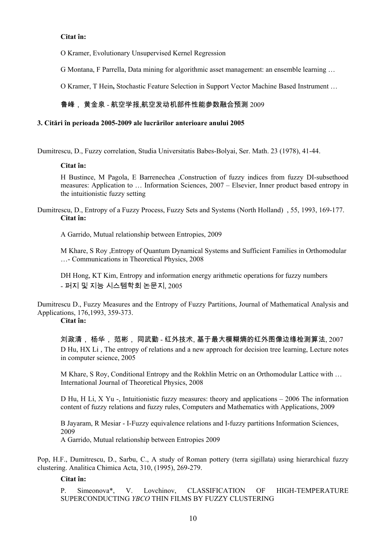## **Citat în:**

O Kramer, [Evolutionary Unsupervised Kernel Regression](http://www.emse.fr/enbis-emse2009/pdf/resumes/Kramer_UnsupervisedKernelRegression_Optimisation_ES.pdf) 

G Montana, F Parrella, [Data mining for algorithmic asset management: an ensemble learning …](http://onlinesvr.altervista.org/Research/Data%20mining%20for%20algorithmic%20asset%20management%20(Montana%20G.,%20Parrella%20F.)%20%5B2008%5D.pdf) 

O Kramer, T Hein**,** [Stochastic Feature Selection in Support Vector Machine Based Instrument …](http://www.springerlink.com/index/36tq444265g21313.pdf)

# 鲁峰, 黄金泉 - 航空学报,[航空发动机部件性能参数融合预测](http://www.cqvip.com/qk/91925x/2009010/31850442.html) 2009

## **3. Citări în perioada 2005-2009 ale lucrărilor anterioare anului 2005**

Dumitrescu, D., Fuzzy correlation, Studia Universitatis Babes-Bolyai, Ser. Math. 23 (1978), 41-44.

## **Citat în:**

H Bustince, M Pagola, E Barrenechea ,[Construction of fuzzy indices from fuzzy DI-subsethood](http://linkinghub.elsevier.com/retrieve/pii/S0020025506002015)  [measures: Application to …](http://linkinghub.elsevier.com/retrieve/pii/S0020025506002015) Information Sciences, 2007 – Elsevier, [Inner product based entropy in](http://www.worldscinet.com/abstract?id=pii:S0218488506004059)  [the intuitionistic fuzzy setting](http://www.worldscinet.com/abstract?id=pii:S0218488506004059) 

Dumitrescu, D., Entropy of a Fuzzy Process, Fuzzy Sets and Systems (North Holland) , 55, 1993, 169-177. **Citat în:** 

A Garrido, [Mutual relationship between Entropies,](http://www.ici.ro/camo/journal/vol11/v11d19.pdf) 2009

M Khare, S Roy [,Entropy of Quantum Dynamical Systems and Sufficient Families in Orthomodular](http://www.iop.org/EJ/abstract/0253-6102/50/3/02)  […-](http://www.iop.org/EJ/abstract/0253-6102/50/3/02) Communications in Theoretical Physics, 2008

DH Hong, KT Kim, [Entropy and information energy arithmetic operations for fuzzy numbers](http://www.dbpia.co.kr/view/ar_view.asp?arid=1027854)  - 퍼지 및 지능 시스템학회 논문지, 2005

Dumitrescu D., Fuzzy Measures and the Entropy of Fuzzy Partitions, Journal of Mathematical Analysis and Applications, 176,1993, 359-373.

# **Citat în:**

刘政清, 杨华, 范彬, 同武勤 - 红外技术, [基于最大模糊熵的红外图像边缘检测算法](http://www.cqvip.com/qk/92901x/2007001/25955833.html), 2007 D Hu, HX Li , [The entropy of relations and a new approach for decision tree learning](http://www.springerlink.com/index/12a8lulx61k2urd7.pdf), Lecture notes in computer science, 2005

M Khare, S Roy, [Conditional Entropy and the Rokhlin Metric on an Orthomodular Lattice with …](http://www.springerlink.com/index/F56K442586552026.pdf)  International Journal of Theoretical Physics, 2008

D Hu, H Li, X Yu -, [Intuitionistic fuzzy measures: theory and applications](http://www.google.com/books?hl=ro&lr=&id=Sg3OVpo9oOAC&oi=fnd&pg=PP9&ots=s9XEas-_Dp&sig=E644a-gnbcTK0wSGXTJRzJB9Gg0) – 2006 [The information](http://linkinghub.elsevier.com/retrieve/pii/S0898122108006482)  [content of fuzzy relations and fuzzy rules,](http://linkinghub.elsevier.com/retrieve/pii/S0898122108006482) Computers and Mathematics with Applications, 2009

B Jayaram, R Mesiar - [I-Fuzzy equivalence relations and I-fuzzy partitions](http://linkinghub.elsevier.com/retrieve/pii/S002002550900005X) Information Sciences, 2009 A Garrido, [Mutual relationship between Entropies](http://www.ici.ro/camo/journal/vol11/v11d19.pdf) 2009

Pop, H.F., Dumitrescu, D., Sarbu, C., A study of Roman pottery (terra sigillata) using hierarchical fuzzy clustering. Analitica Chimica Acta, 310, (1995), 269-279.

## **Citat în:**

P. Simeonova\*, V. Lovchinov, CLASSIFICATION OF HIGH-TEMPERATURE SUPERCONDUCTING *YBCO* THIN FILMS BY FUZZY CLUSTERING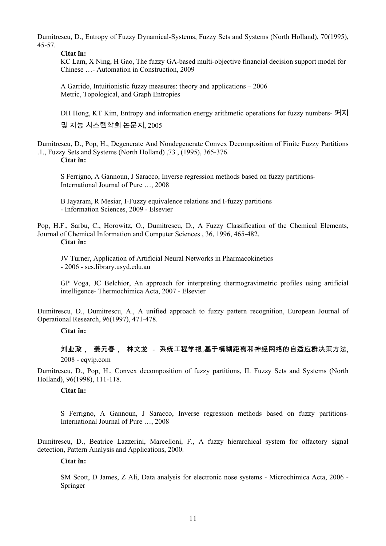Dumitrescu, D., Entropy of Fuzzy Dynamical-Systems, Fuzzy Sets and Systems (North Holland), 70(1995), 45-57.

**Citat în:** 

KC Lam, X Ning, H Gao, [The fuzzy GA-based multi-objective financial decision support model for](http://linkinghub.elsevier.com/retrieve/pii/S092658050800160X)  [Chinese …-](http://linkinghub.elsevier.com/retrieve/pii/S092658050800160X) Automation in Construction, 2009

A Garrido, [Intuitionistic fuzzy measures: theory and applications](http://www.google.com/books?hl=ro&lr=&id=Sg3OVpo9oOAC&oi=fnd&pg=PP9&ots=s9XEas-2Ep&sig=b0Uh7vSzyJ8fksHnr25yj8eLahU) – 2006 [Metric, Topological, and Graph Entropies](http://www.ici.ro/camo/journal/vol11/v11d18.pdf) 

DH Hong, KT Kim, [Entropy and information energy arithmetic operations for fuzzy numbers-](http://www.dbpia.co.kr/view/ar_view.asp?arid=1027854) 퍼지 및 지능 시스템학회 논문지, 2005

Dumitrescu, D., Pop, H., Degenerate And Nondegenerate Convex Decomposition of Finite Fuzzy Partitions .1., Fuzzy Sets and Systems (North Holland) ,73 , (1995), 365-376.

**Citat în:** 

S Ferrigno, A Gannoun, J Saracco, [Inverse regression methods based on fuzzy partitions-](http://cedric.cnam.fr/PUBLIS/RC1656.pdf)International Journal of Pure …, 2008

B Jayaram, R Mesiar, [I-Fuzzy equivalence relations and I-fuzzy partitions](http://linkinghub.elsevier.com/retrieve/pii/S002002550900005X)  - Information Sciences, 2009 - Elsevier

Pop, H.F., Sarbu, C., Horowitz, O., Dumitrescu, D., A Fuzzy Classification of the Chemical Elements, Journal of Chemical Information and Computer Sciences , 36, 1996, 465-482. **Citat în:** 

JV Turner, [Application of Artificial Neural Networks in Pharmacokinetics](http://ses.library.usyd.edu.au/handle/2123/488)  - 2006 - ses.library.usyd.edu.au

GP Voga, JC Belchior, [An approach for interpreting thermogravimetric profiles using artificial](http://linkinghub.elsevier.com/retrieve/pii/S0040603106005302)  [intelligence-](http://linkinghub.elsevier.com/retrieve/pii/S0040603106005302) Thermochimica Acta, 2007 - Elsevier

Dumitrescu, D., Dumitrescu, A., A unified approach to fuzzy pattern recognition, European Journal of Operational Research, 96(1997), 471-478.

**Citat în:** 

刘业政, 姜元春, 林文龙 - 系统工程学报,[基于模糊距离和神经网络的自适应群决策方法](http://www.cqvip.com/qk/96188x/2008001/26851776.html),  $2008$  - cavin com

Dumitrescu, D., Pop, H., Convex decomposition of fuzzy partitions, II. Fuzzy Sets and Systems (North Holland), 96(1998), 111-118.

#### **Citat în:**

S Ferrigno, A Gannoun, J Saracco, [Inverse regression methods based on fuzzy partitions](http://cedric.cnam.fr/PUBLIS/RC1656.pdf)-International Journal of Pure …, 2008

Dumitrescu, D., Beatrice Lazzerini, Marcelloni, F., A fuzzy hierarchical system for olfactory signal detection, Pattern Analysis and Applications, 2000.

## **Citat în:**

SM Scott, D James, Z Ali, [Data analysis for electronic nose systems](http://www.springerlink.com/index/N83WM267448767VH.pdf) - Microchimica Acta, 2006 - Springer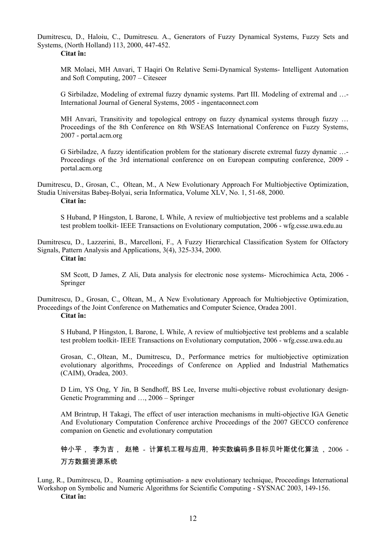Dumitrescu, D., Haloiu, C., Dumitrescu. A., Generators of Fuzzy Dynamical Systems, Fuzzy Sets and Systems, (North Holland) 113, 2000, 447-452.

**Citat în:** 

MR Molaei, MH Anvari, T Haqiri [On Relative Semi-Dynamical Systems](http://citeseerx.ist.psu.edu/viewdoc/download?doi=10.1.1.87.9603&rep=rep1&type=pdf)- Intelligent Automation and Soft Computing, 2007 – Citeseer

G Sirbiladze, [Modeling of extremal fuzzy dynamic systems. Part III. Modeling of extremal and …](http://www.ingentaconnect.com/content/tandf/ggen/2005/00000034/00000002/art00003)- International Journal of General Systems, 2005 - ingentaconnect.com

MH Anvari, Transitivity and topological entropy on fuzzy dynamical systems through fuzzy ... Proceedings of the 8th Conference on 8th WSEAS International Conference on Fuzzy Systems, 2007 - portal.acm.org

G Sirbiladze, [A fuzzy identification problem for the stationary discrete extremal fuzzy dynamic …](http://portal.acm.org/citation.cfm?id=1627955.1628013)- Proceedings of the 3rd international conference on on European computing conference, 2009 portal.acm.org

Dumitrescu, D., Grosan, C., Oltean, M., A New Evolutionary Approach For Multiobjective Optimization, Studia Universitas Babeş-Bolyai, seria Informatica, Volume XLV, No. 1, 51-68, 2000.

**Citat în:** 

S Huband, P Hingston, L Barone, L While, [A review of multiobjective test problems and a scalable](http://www.wfg.csse.uwa.edu.au/publications/WFG2006c.pdf)  [test problem toolkit-](http://www.wfg.csse.uwa.edu.au/publications/WFG2006c.pdf) IEEE Transactions on Evolutionary computation, 2006 - wfg.csse.uwa.edu.au

Dumitrescu, D., Lazzerini, B., Marcelloni, F., A Fuzzy Hierarchical Classification System for Olfactory Signals, Pattern Analysis and Applications, 3(4), 325-334, 2000.

**Citat în:** 

SM Scott, D James, Z Ali, [Data analysis for electronic nose systems](http://www.springerlink.com/index/N83WM267448767VH.pdf)- Microchimica Acta, 2006 - Springer

Dumitrescu, D., Grosan, C., Oltean, M., A New Evolutionary Approach for Multiobjective Optimization, Proceedings of the Joint Conference on Mathematics and Computer Science, Oradea 2001. **Citat în:** 

S Huband, P Hingston, L Barone, L While, [A review of multiobjective test problems and a scalable](http://www.wfg.csse.uwa.edu.au/publications/WFG2006c.pdf)  [test problem toolkit-](http://www.wfg.csse.uwa.edu.au/publications/WFG2006c.pdf) IEEE Transactions on Evolutionary computation, 2006 - wfg.csse.uwa.edu.au

Grosan, C., Oltean, M., Dumitrescu, D., Performance metrics for multiobjective optimization evolutionary algorithms, Proceedings of Conference on Applied and Industrial Mathematics (CAIM), Oradea, 2003.

D Lim, YS Ong, Y Jin, B Sendhoff, BS Lee, [Inverse multi-objective robust evolutionary design](http://www.springerlink.com/index/H76KN334704G0552.pdf)-Genetic Programming and …, 2006 – Springer

AM Brintrup, H Takagi, [The effect of user interaction mechanisms in multi-objective IGA](http://portal.acm.org/citation.cfm?id=1274000.1274099) Genetic And Evolutionary Computation Conference [archive](http://portal.acm.org/toc.cfm?id=SERIES11264&type=series&coll=GUIDE&dl=GUIDE&CFID=82328386&CFTOKEN=31221280) Proceedings of the 2007 GECCO conference companion on Genetic and evolutionary computation

钟小平, 李为吉, 赵艳 - 计算机工程与应用[, 种实数编码多目标贝叶斯优化算法](http://d.wanfangdata.com.cn/Periodical_jsjgcyyy200632003.aspx) , 2006 - 万方数据资源系统

Lung, R., Dumitrescu, D., Roaming optimisation- a new evolutionary technique, Proceedings International Workshop on Symbolic and Numeric Algorithms for Scientific Computing - SYSNAC 2003, 149-156. **Citat în:**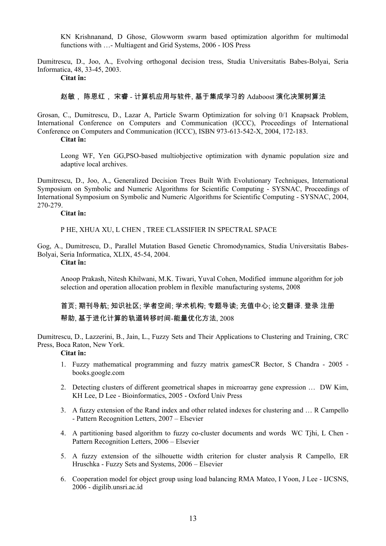KN Krishnanand, D Ghose, [Glowworm swarm based optimization algorithm for multimodal](http://iospress.metapress.com/index/5DERFRQ1M1W0JNCD.pdf)  [functions with …](http://iospress.metapress.com/index/5DERFRQ1M1W0JNCD.pdf)- Multiagent and Grid Systems, 2006 - IOS Press

Dumitrescu, D., Joo, A., Evolving orthogonal decision tress, Studia Universitatis Babes-Bolyai, Seria Informatica, 48, 33-45, 2003.

**Citat în:** 

## 赵敏, 陈恩红, 宋睿 - 计算机应用与软件, [基于集成学习的](http://www.cqvip.com/qk/90976x/200703/23949243.html) Adaboost 演化决策树算法

Grosan, C., Dumitrescu, D., Lazar A, Particle Swarm Optimization for solving 0/1 Knapsack Problem, International Conference on Computers and Communication (ICCC), Proceedings of International Conference on Computers and Communication (ICCC), ISBN 973-613-542-X, 2004, 172-183.

# **Citat în:**

[Leong WF,](http://www.ncbi.nlm.nih.gov/pubmed?term=%22Leong%20WF%22%5BAuthor%5D) [Yen GG](http://www.ncbi.nlm.nih.gov/pubmed?term=%22Yen%20GG%22%5BAuthor%5D),PSO-based multiobjective optimization with dynamic population size and adaptive local archives.

Dumitrescu, D., Joo, A., Generalized Decision Trees Built With Evolutionary Techniques, International Symposium on Symbolic and Numeric Algorithms for Scientific Computing - SYSNAC, Proceedings of International Symposium on Symbolic and Numeric Algorithms for Scientific Computing - SYSNAC, 2004, 270-279.

#### **Citat în:**

P HE, XHUA XU, L CHEN , [TREE CLASSIFIER IN SPECTRAL SPACE](http://ieeexplore.ieee.org/iel5/5197447/5212451/05212576.pdf?arnumber=5212576) 

Gog, A., Dumitrescu, D., Parallel Mutation Based Genetic Chromodynamics, Studia Universitatis Babes-Bolyai, Seria Informatica, XLIX, 45-54, 2004.

# **Citat în:**

Anoop Prakash, Nitesh Khilwani, M.K. Tiwari, Yuval Cohen, Modified immune algorithm for job selection and operation allocation problem in flexible manufacturing systems, 2008

首页; 期刊导航; 知识社区; 学者空间; 学术机构; 专题导读; 充值中心; 论文翻译. 登录 注册 帮助, [基于进化计算的轨道转移时间](http://www.cqvip.com/qk/95033x/2008003/26585175.html)-能量优化方法, 2008

Dumitrescu, D., Lazzerini, B., Jain, L., Fuzzy Sets and Their Applications to Clustering and Training, CRC Press, Boca Raton, New York.

## **Citat în:**

- 1. Fuzzy mathematical programming and fuzzy matrix gamesCR Bector, S Chandra 2005 books.google.com
- 2. Detecting clusters of different geometrical shapes in microarray gene expression … DW Kim, KH Lee, D Lee - Bioinformatics, 2005 - Oxford Univ Press
- 3. A fuzzy extension of the Rand index and other related indexes for clustering and … R Campello - Pattern Recognition Letters, 2007 – Elsevier
- 4. [A partitioning based algorithm to fuzzy co-cluster documents and words](http://linkinghub.elsevier.com/retrieve/pii/S0167865505002011) WC Tjhi, L Chen Pattern Recognition Letters, 2006 – Elsevier
- 5. A fuzzy extension of the silhouette width criterion for cluster analysis R Campello, ER Hruschka - Fuzzy Sets and Systems, 2006 – Elsevier
- 6. Cooperation model for object group using load balancing RMA Mateo, I Yoon, J Lee IJCSNS, 2006 - digilib.unsri.ac.id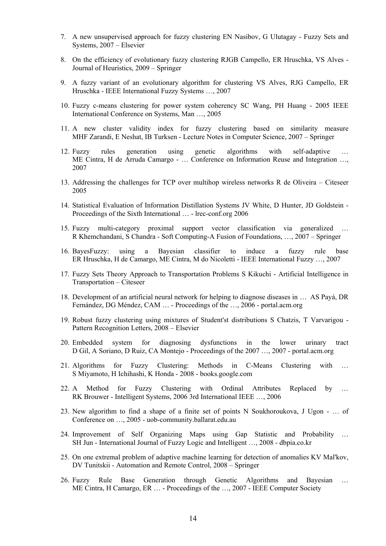- 7. A new unsupervised approach for fuzzy clustering EN Nasibov, G Ulutagay Fuzzy Sets and Systems, 2007 – Elsevier
- 8. [On the efficiency of evolutionary fuzzy clustering](http://www.springerlink.com/index/qj5v750k80454741.pdf) RJGB Campello, ER Hruschka, VS Alves Journal of Heuristics, 2009 – Springer
- 9. A fuzzy variant of an evolutionary algorithm for clustering VS Alves, RJG Campello, ER Hruschka - IEEE International Fuzzy Systems …, 2007
- 10. Fuzzy c-means clustering for power system coherency SC Wang, PH Huang 2005 IEEE International Conference on Systems, Man …, 2005
- 11. A new cluster validity index for fuzzy clustering based on similarity measure MHF Zarandi, E Neshat, IB Turksen - Lecture Notes in Computer Science, 2007 – Springer
- 12. Fuzzy rules generation using genetic algorithms with self-adaptive … ME Cintra, H de Arruda Camargo - … Conference on Information Reuse and Integration …, 2007
- 13. [Addressing the challenges for TCP over multihop wireless networks](http://citeseerx.ist.psu.edu/viewdoc/download?doi=10.1.1.90.6036&rep=rep1&type=pdf) R de Oliveira Citeseer 2005
- 14. [Statistical Evaluation of Information Distillation Systems](http://www.lrec-conf.org/proceedings/lrec2008/pdf/914_paper.pdf) JV White, D Hunter, JD Goldstein Proceedings of the Sixth International … - lrec-conf.org 2006
- 15. [Fuzzy multi-category proximal support vector classification via generalized …](http://www.springerlink.com/index/MR128335512X5624.pdf) R Khemchandani, S Chandra - Soft Computing-A Fusion of Foundations, …, 2007 – Springer
- 16. BayesFuzzy: using a Bayesian classifier to induce a fuzzy rule base ER Hruschka, H de Camargo, ME Cintra, M do Nicoletti - IEEE International Fuzzy …, 2007
- 17. [Fuzzy Sets Theory Approach to Transportation Problems](http://citeseerx.ist.psu.edu/viewdoc/download?doi=10.1.1.107.5387&rep=rep1&type=pdf#page=39) S Kikuchi Artificial Intelligence in Transportation – Citeseer
- 18. [Development of an artificial neural network for helping to diagnose diseases in …](http://portal.acm.org/citation.cfm?id=1315855) AS Payá, DR Fernández, DG Méndez, CAM … - Proceedings of the …, 2006 - portal.acm.org
- 19. [Robust fuzzy clustering using mixtures of Student'st distributions](http://linkinghub.elsevier.com/retrieve/pii/S0167865508002122) S Chatzis, T Varvarigou Pattern Recognition Letters, 2008 – Elsevier
- 20. [Embedded system for diagnosing dysfunctions in the lower urinary tract](http://portal.acm.org/citation.cfm?id=1244002.1244044)  D Gil, A Soriano, D Ruiz, CA Montejo - Proceedings of the 2007 …, 2007 - portal.acm.org
- 21. [Algorithms for Fuzzy Clustering: Methods in C-Means Clustering with …](http://www.google.com/books?hl=en&lr=&id=Tfw_jppDFXwC&oi=fnd&pg=PA1&ots=4FUiFw-39J&sig=JSdm_eX4QJ3NS_8XgdiwZEuGUIk) S Miyamoto, H Ichihashi, K Honda - 2008 - books.google.com
- 22. A Method for Fuzzy Clustering with Ordinal Attributes Replaced by RK Brouwer - Intelligent Systems, 2006 3rd International IEEE …, 2006
- 23. [New algorithm to find a shape of a finite set of points](http://uob-community.ballarat.edu.au/%7Enshkova/e5.pdf) N Soukhoroukova, J Ugon … of Conference on …, 2005 - uob-community.ballarat.edu.au
- 24. [Improvement of Self Organizing Maps using Gap Statistic and Probability …](http://www.dbpia.co.kr/view/ar_view.asp?arid=1084695) SH Jun - International Journal of Fuzzy Logic and Intelligent …, 2008 - dbpia.co.kr
- 25. [On one extremal problem of adaptive machine learning for detection of anomalies](http://www.springerlink.com/index/D4461868010280H0.pdf) KV Mal'kov, DV Tunitskii - Automation and Remote Control, 2008 – Springer
- 26. Fuzzy Rule Base Generation through Genetic Algorithms and Bayesian … ME Cintra, H Camargo, ER … - Proceedings of the …, 2007 - IEEE Computer Society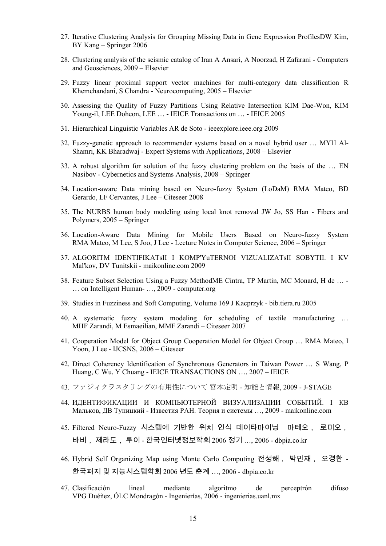- 27. [Iterative Clustering Analysis for Grouping Missing Data in Gene Expression ProfilesD](http://www.springerlink.com/index/m1tw6579q856r5p3.pdf)W Kim, BY Kang – Springer 2006
- 28. [Clustering analysis of the seismic catalog of Iran](http://linkinghub.elsevier.com/retrieve/pii/S0098300408001301) A Ansari, A Noorzad, H Zafarani Computers and Geosciences, 2009 – Elsevier
- 29. [Fuzzy linear proximal support vector machines for multi-category data classification](http://linkinghub.elsevier.com/retrieve/pii/S0925231204005569) R Khemchandani, S Chandra - Neurocomputing, 2005 – Elsevier
- 30. [Assessing the Quality of Fuzzy Partitions Using Relative Intersection](http://ietisy.oxfordjournals.org/cgi/reprint/E88-D/3/594.pdf) KIM Dae-Won, KIM Young-il, LEE Doheon, LEE … - IEICE Transactions on … - IEICE 2005
- 31. [Hierarchical Linguistic Variables](http://ieeexplore.ieee.org/iel5/5109425/5156374/05156432.pdf?arnumber=5156432) AR de Soto ieeexplore.ieee.org 2009
- 32. [Fuzzy-genetic approach to recommender systems based on a novel hybrid user …](http://linkinghub.elsevier.com/retrieve/pii/S095741740700351X) MYH Al-Shamri, KK Bharadwaj - Expert Systems with Applications, 2008 – Elsevier
- 33. [A robust algorithm for solution of the fuzzy clustering problem on the basis of the …](http://www.springerlink.com/index/K546572J027177W8.pdf) EN Nasibov - Cybernetics and Systems Analysis, 2008 – Springer
- 34. [Location-aware Data mining based on Neuro-fuzzy System \(LoDaM\)](http://citeseerx.ist.psu.edu/viewdoc/download?doi=10.1.1.68.4584&rep=rep1&type=pdf) RMA Mateo, BD Gerardo, LF Cervantes, J Lee – Citeseer 2008
- 35. [The NURBS human body modeling using local knot removal](http://www.springerlink.com/index/4110J2X4566305W4.pdf) JW Jo, SS Han Fibers and Polymers, 2005 – Springer
- 36. [Location-Aware Data Mining for Mobile Users Based on Neuro-fuzzy System](http://www.springerlink.com/index/tx7333j664531201.pdf) RMA Mateo, M Lee, S Joo, J Lee - Lecture Notes in Computer Science, 2006 – Springer
- 37. [ALGORITM IDENTIFIKATsII I KOMP'YuTERNOI VIZUALIZATsII SOBYTII. I](http://www.maikonline.com/maik/showArticle.do?auid=VAFX316OX7&lang=en) KV Mal'kov, DV Tunitskii - maikonline.com 2009
- 38. [Feature Subset Selection Using a Fuzzy Method](http://www.computer.org/portal/web/csdl/doi/10.1109/IHMSC.2009.177)ME Cintra, TP Martin, MC Monard, H de … … on Intelligent Human- …, 2009 - computer.org
- 39. [Studies in Fuzziness and Soft Computing, Volume 169](http://bib.tiera.ru/dvd37/Bector%20C.R.,%20Chandra%20S.%20-%20Fuzzy%20Mathematical%20Programming%20and%20Fuzzy%20Matrix%20Games%282005%29%28252%29.pdf) J Kacprzyk bib.tiera.ru 2005
- 40. [A systematic fuzzy system modeling for scheduling of textile manufacturing …](http://citeseerx.ist.psu.edu/viewdoc/download?doi=10.1.1.133.8007&rep=rep1&type=pdf)  MHF Zarandi, M Esmaeilian, MMF Zarandi – Citeseer 2007
- 41. [Cooperation Model for Object Group Cooperation Model for Object Group …](http://citeseerx.ist.psu.edu/viewdoc/download?doi=10.1.1.70.7893&rep=rep1&type=pdf) RMA Mateo, I Yoon, J Lee - IJCSNS, 2006 – Citeseer
- 42. [Direct Coherency Identification of Synchronous Generators in Taiwan Power …](http://ietfec.oxfordjournals.org/cgi/reprint/E90-A/10/2223.pdf) S Wang, P Huang, C Wu, Y Chuang - IEICE TRANSACTIONS ON …, 2007 – IEICE
- 43. [ファジィクラスタリングの有用性について](http://joi.jlc.jst.go.jp/JST.JSTAGE/jsoft/21.1008?from=Google) 宮本定明 知能と情報, 2009 J-STAGE
- 44. [ИДЕНТИФИКАЦИИ](http://www.maikonline.com/maik/showArticle.do?auid=VAFX316OX7&lang=ru) И КОМПЬЮТЕРНОЙ ВИЗУАЛИЗАЦИИ СОБЫТИЙ. I КВ Мальков, ДВ Туницкий - Известия РАН. Теория и системы …, 2009 - maikonline.com
- 45. [Filtered Neuro-Fuzzy](http://www.dbpia.co.kr/view/ar_view.asp?arid=831450) 시스템에 기반한 위치 인식 데이타마이닝 마테오, 로미오, 바비, 제라도, 루이 - 한국인터넷정보학회 2006 정기 …, 2006 - dbpia.co.kr
- 46. [Hybrid Self Organizing Map using Monte Carlo Computing](http://www.dbpia.co.kr/view/ar_view.asp?arid=1038685) 전성해, 박민재, 오경환 한국퍼지 및 지능시스템학회 2006 년도 춘계 …, 2006 - dbpia.co.kr
- 47. [Clasificación lineal mediante algoritmo de perceptrón difuso](http://ingenierias.uanl.mx/30/30_clasificacion.pdf) VPG Duéñez, ÓLC Mondragón - Ingenierías, 2006 - ingenierias.uanl.mx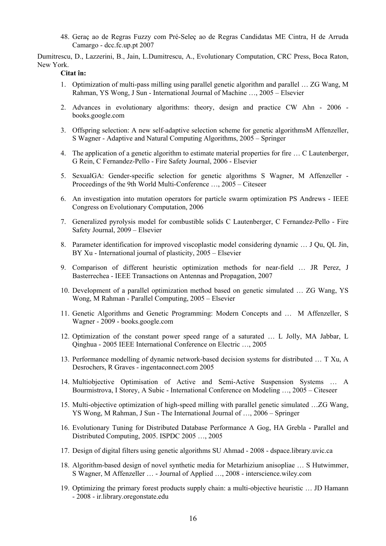48. [Geraç ao de Regras Fuzzy com Pré-Seleç ao de Regras Candidatas](http://www.dcc.fc.up.pt/%7Eines/enia07_html/pdf/27966.pdf) ME Cintra, H de Arruda Camargo - dcc.fc.up.pt 2007

Dumitrescu, D., Lazzerini, B., Jain, L.Dumitrescu, A., Evolutionary Computation, CRC Press, Boca Raton, New York.

#### **Citat în:**

- 1. [Optimization of multi-pass milling using parallel genetic algorithm and parallel …](http://linkinghub.elsevier.com/retrieve/pii/S0890695505000775) ZG Wang, M Rahman, YS Wong, J Sun - International Journal of Machine …, 2005 – Elsevier
- 2. [Advances in evolutionary algorithms: theory, design and practice](http://www.google.com/books?hl=en&lr=&id=SJp7q4GvRJQC&oi=fnd&pg=PA1&ots=zQo4cgaRZO&sig=vyBikM9VExLqdJA1R1J_Q708vMo) CW Ahn 2006 books.google.com
- 3. [Offspring selection: A new self-adaptive selection scheme for genetic algorithmsM](http://www.springerlink.com/index/u24302k2w125j124.pdf) Affenzeller, S Wagner - Adaptive and Natural Computing Algorithms, 2005 – Springer
- 4. [The application of a genetic algorithm to estimate material properties for fire …](http://linkinghub.elsevier.com/retrieve/pii/S0379711205001372) C Lautenberger, G Rein, C Fernandez-Pello - Fire Safety Journal, 2006 - Elsevier
- 5. [SexualGA: Gender-specific selection for genetic algorithms](http://citeseerx.ist.psu.edu/viewdoc/download?doi=10.1.1.73.1017&rep=rep1&type=pdf) S Wagner, M Affenzeller Proceedings of the 9th World Multi-Conference …, 2005 – Citeseer
- 6. An investigation into mutation operators for particle swarm optimization PS Andrews IEEE Congress on Evolutionary Computation, 2006
- 7. [Generalized pyrolysis model for combustible solids](http://linkinghub.elsevier.com/retrieve/pii/S0379711209000332) C Lautenberger, C Fernandez-Pello Fire Safety Journal, 2009 – Elsevier
- 8. [Parameter identification for improved viscoplastic model considering dynamic …](http://linkinghub.elsevier.com/retrieve/pii/S0749641904000439) J Qu, QL Jin, BY Xu - International journal of plasticity, 2005 – Elsevier
- 9. Comparison of different heuristic optimization methods for near-field … JR Perez, J Basterrechea - IEEE Transactions on Antennas and Propagation, 2007
- 10. [Development of a parallel optimization method based on genetic simulated …](http://linkinghub.elsevier.com/retrieve/pii/S0167819105000499) ZG Wang, YS Wong, M Rahman - Parallel Computing, 2005 – Elsevier
- 11. [Genetic Algorithms and Genetic Programming: Modern Concepts and …](http://www.google.com/books?hl=en&lr=&id=EkELtZAXViEC&oi=fnd&pg=PT11&ots=rpYUatWzSI&sig=DrgMlLawXbxNFhnudFUVuJpliFI) M Affenzeller, S Wagner - 2009 - books.google.com
- 12. Optimization of the constant power speed range of a saturated … L Jolly, MA Jabbar, L Qinghua - 2005 IEEE International Conference on Electric …, 2005
- 13. [Performance modelling of dynamic network-based decision systems for distributed …](http://www.ingentaconnect.com/content/tandf/tcim/2005/00000018/F0020002/art00009) T Xu, A Desrochers, R Graves - ingentaconnect.com 2005
- 14. [Multiobjective Optimisation of Active and Semi-Active Suspension Systems …](http://citeseerx.ist.psu.edu/viewdoc/download?doi=10.1.1.125.8554&rep=rep1&type=pdf) A Bourmistrova, I Storey, A Subic - International Conference on Modeling …, 2005 – Citeseer
- 15. [Multi-objective optimization of high-speed milling with parallel genetic simulated …Z](http://www.springerlink.com/index/75023420708U25Q8.pdf)G Wang, YS Wong, M Rahman, J Sun - The International Journal of …, 2006 – Springer
- 16. Evolutionary Tuning for Distributed Database Performance A Gog, HA Grebla Parallel and Distributed Computing, 2005. ISPDC 2005 …, 2005
- 17. [Design of digital filters using genetic algorithms](https://dspace.library.uvic.ca:8443/handle/1828/1294) SU Ahmad 2008 dspace.library.uvic.ca
- 18. [Algorithm-based design of novel synthetic media for Metarhizium anisopliae …](http://www3.interscience.wiley.com/journal/120125038/abstract) S Hutwimmer, S Wagner, M Affenzeller … - Journal of Applied …, 2008 - interscience.wiley.com
- 19. [Optimizing the primary forest products supply chain: a multi-objective heuristic …](http://ir.library.oregonstate.edu/dspace/handle/1957/9286) JD Hamann - 2008 - ir.library.oregonstate.edu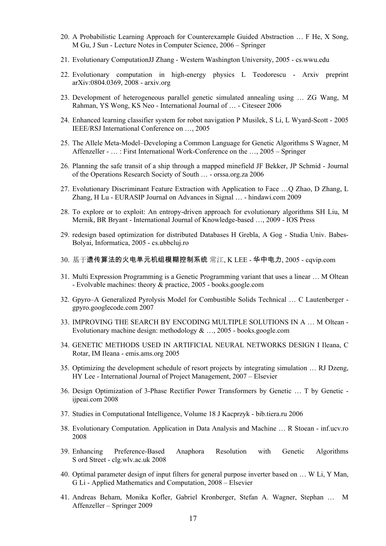- 20. [A Probabilistic Learning Approach for Counterexample Guided Abstraction …](http://www.springerlink.com/index/n54347872164w7h6.pdf) F He, X Song, M Gu, J Sun - Lecture Notes in Computer Science, 2006 – Springer
- 21. [Evolutionary Computation](http://cs.wwu.edu/faculty/jianna/cs517-E/notes/lec03.pdf)JJ Zhang Western Washington University, 2005 cs.wwu.edu
- 22. [Evolutionary computation in high-energy physics](http://arxiv.org/pdf/0804.0369) L Teodorescu Arxiv preprint arXiv:0804.0369, 2008 - arxiv.org
- 23. [Development of heterogeneous parallel genetic simulated annealing using …](http://citeseerx.ist.psu.edu/viewdoc/download?doi=10.1.1.101.6793&rep=rep1&type=pdf) ZG Wang, M Rahman, YS Wong, KS Neo - International Journal of … - Citeseer 2006
- 24. Enhanced learning classifier system for robot navigation P Musilek, S Li, L Wyard-Scott 2005 IEEE/RSJ International Conference on …, 2005
- 25. [The Allele Meta-Model–Developing a Common Language for Genetic Algorithms](http://www.springerlink.com/index/vdm500cee620u73b.pdf) S Wagner, M Affenzeller - … : First International Work-Conference on the …, 2005 – Springer
- 26. [Planning the safe transit of a ship through a mapped minefield](http://www.orssa.org.za/wiki/uploads/ORiON/ORiON_22_1.pdf#page=9) JF Bekker, JP Schmid Journal of the Operations Research Society of South … - orssa.org.za 2006
- 27. [Evolutionary Discriminant Feature Extraction with Application to Face …Q](http://hindawi.com/journals/asp/2009/465193.pdf) Zhao, D Zhang, L Zhang, H Lu - EURASIP Journal on Advances in Signal … - hindawi.com 2009
- 28. [To explore or to exploit: An entropy-driven approach for evolutionary algorithms](http://iospress.metapress.com/index/7402580020622T68.pdf) SH Liu, M Mernik, BR Bryant - International Journal of Knowledge-based …, 2009 - IOS Press
- 29. [redesign based optimization for distributed Databases](http://www.cs.ubbcluj.ro/%7Estudia-i/2005-1/10-GreblaGog.pdf) H Grebla, A Gog Studia Univ. Babes-Bolyai, Informatica, 2005 - cs.ubbcluj.ro
- 30. [基于](http://www.cqvip.com/qk/98461x/2005001/11927605.html)[遗传算法的火电单元机组模糊控制系统](http://www.cqvip.com/qk/98461x/2005001/11927605.html) 常江, K LEE 华中电力, 2005 cqvip.com
- 31. [Multi Expression Programming is a Genetic Programming variant that uses a linear …](http://www.google.com/books?hl=en&lr=&id=gSgL9_6CpdAC&oi=fnd&pg=PA229&ots=bevgRLmzAb&sig=K1fUUuLu1wIOZulnlRBsfe7i5sc) M Oltean - Evolvable machines: theory & practice, 2005 - books.google.com
- 32. [Gpyro–A Generalized Pyrolysis Model for Combustible Solids Technical …](http://gpyro.googlecode.com/files/gpyro_technical_reference_0.700.pdf) C Lautenberger gpyro.googlecode.com 2007
- 33. [IMPROVING THE SEARCH BY ENCODING MULTIPLE SOLUTIONS IN A …](http://www.google.com/books?hl=en&lr=&id=Ns0ktqWh0JQC&oi=fnd&pg=PA81&ots=DrFrr4tumE&sig=husl-sZ4FcHHtpe6M1qovcYnRYk) M Oltean Evolutionary machine design: methodology  $\&$  ..., 2005 - books.google.com
- 34. [GENETIC METHODS USED IN ARTIFICIAL NEURAL NETWORKS DESIGN](http://www.emis.ams.org/journals/AUA/acta11/42-Ileana/Ileana.pdf) I Ileana, C Rotar, IM Ileana - emis.ams.org 2005
- 35. [Optimizing the development schedule of resort projects by integrating simulation …](http://linkinghub.elsevier.com/retrieve/pii/S0263786306001694) RJ Dzeng, HY Lee - International Journal of Project Management, 2007 – Elsevier
- 36. [Design Optimization of 3-Phase Rectifier Power Transformers by Genetic …](http://ijpeai.com/August-2008-01-01-1002.pdf) T by Genetic ijpeai.com 2008
- 37. [Studies in Computational Intelligence, Volume 18](http://bib.tiera.ru/dvd36/Ahn%20C.W.%20-%20Advances%20in%20Evolutionary%20Algorithms.%20Theory,%20Design%20and%20Practice%282006%29%28171%29.pdf) J Kacprzyk bib.tiera.ru 2006
- 38. [Evolutionary Computation. Application in Data Analysis and Machine …](http://inf.ucv.ro/%7Erstoean/lists/tezars.pdf) R Stoean inf.ucv.ro 2008
- 39. [Enhancing Preference-Based Anaphora Resolution with Genetic Algorithms](http://clg.wlv.ac.uk/papers/orasan-NLP-00.pdf) S ord Street - clg.wlv.ac.uk 2008
- 40. [Optimal parameter design of input filters for general purpose inverter based on …](http://linkinghub.elsevier.com/retrieve/pii/S0096300308003482) W Li, Y Man, G Li - Applied Mathematics and Computation, 2008 – Elsevier
- 41. [Andreas Beham, Monika Kofler, Gabriel Kronberger, Stefan A. Wagner, Stephan …](http://www.springerlink.com/index/w15t32555048v15k.pdf) M Affenzeller – Springer 2009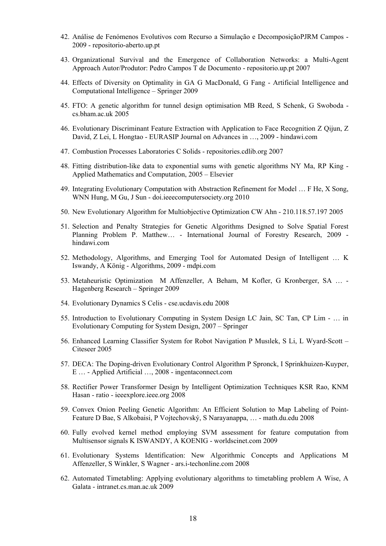- 42. [Análise de Fenómenos Evolutivos com Recurso a Simulação e Decomposição](http://repositorio-aberto.up.pt/handle/10216/7613)PJRM Campos 2009 - repositorio-aberto.up.pt
- 43. Organizational Survival and the Emergence of Collaboration Networks: a Multi-Agent Approach Autor/Produtor: Pedro Campos T de Documento - repositorio.up.pt 2007
- 44. [Effects of Diversity on Optimality in GA](http://www.springerlink.com/index/H02J56200107311L.pdf) G MacDonald, G Fang Artificial Intelligence and Computational Intelligence – Springer 2009
- 45. [FTO: A genetic algorithm for tunnel design optimisation](http://www.cs.bham.ac.uk/%7Ewbl/biblio/gecco2005lbp/papers/87-reed.pdf) MB Reed, S Schenk, G Swoboda cs.bham.ac.uk 2005
- 46. Evolutionary Discriminant Feature Extraction with Application to Face Recognition Z Qijun, Z David, Z Lei, L Hongtao - EURASIP Journal on Advances in …, 2009 - hindawi.com
- 47. [Combustion Processes Laboratories](http://repositories.cdlib.org/cgi/viewcontent.cgi?article=1026&context=cpl) C Solids repositories.cdlib.org 2007
- 48. [Fitting distribution-like data to exponential sums with genetic algorithms](http://linkinghub.elsevier.com/retrieve/pii/S0096300304007544) NY Ma, RP King Applied Mathematics and Computation, 2005 – Elsevier
- 49. [Integrating Evolutionary Computation with Abstraction Refinement for Model …](http://doi.ieeecomputersociety.org/10.1109/TC.2009.105) F He, X Song, WNN Hung, M Gu, J Sun - doi.ieeecomputersociety.org 2010
- 50. [New Evolutionary Algorithm for Multiobjective Optimization](http://210.118.57.197/AboutSAMSUNG/ELECTRONICSGLOBAL/SocialCommitment/HumantechThesis/WinningPapers/downloads/11th/honorprize/AhnChangWook.pdf) CW Ahn 210.118.57.197 2005
- 51. [Selection and Penalty Strategies for Genetic Algorithms Designed to Solve Spatial Forest](http://hindawi.com/journals/ijfr/2009/527392.html)  [Planning Problem](http://hindawi.com/journals/ijfr/2009/527392.html) P. Matthew… - International Journal of Forestry Research, 2009 hindawi.com
- 52. [Methodology, Algorithms, and Emerging Tool for Automated Design of Intelligent …](http://www.mdpi.com/1999-4893/2/4/1368/) K Iswandy, A König - Algorithms, 2009 - mdpi.com
- 53. [Metaheuristic Optimization](http://www.springerlink.com/index/W15T32555048V15K.pdf) M Affenzeller, A Beham, M Kofler, G Kronberger, SA … Hagenberg Research – Springer 2009
- 54. [Evolutionary Dynamics](http://cse.ucdavis.edu/%7Echaos/courses/nlp/Projects2008/ShaneCelis/project/paper.pdf) S Celis cse.ucdavis.edu 2008
- 55. [Introduction to Evolutionary Computing in System Design](http://www.springerlink.com/index/r6w05h323l63n204.pdf) LC Jain, SC Tan, CP Lim … in Evolutionary Computing for System Design, 2007 – Springer
- 56. [Enhanced Learning Classifier System for Robot Navigation](http://citeseerx.ist.psu.edu/viewdoc/download?doi=10.1.1.67.8364&rep=rep1&type=pdf) P Musılek, S Li, L Wyard-Scott Citeseer 2005
- 57. [DECA: The Doping-driven Evolutionary Control Algorithm](http://www.ingentaconnect.com/content/tandf/uaai/2008/00000022/00000003/art00001) P Spronck, I Sprinkhuizen-Kuyper, E … - Applied Artificial …, 2008 - ingentaconnect.com
- 58. [Rectifier Power Transformer Design by Intelligent Optimization Techniques](http://ieeexplore.ieee.org/iel5/4749248/4763280/04763354.pdf?arnumber=4763354) KSR Rao, KNM Hasan - ratio - ieeexplore.ieee.org 2008
- 59. [Convex Onion Peeling Genetic Algorithm: An Efficient Solution to Map Labeling of Point-](http://www.math.du.edu/data/preprints/m0917.pdf)[Feature](http://www.math.du.edu/data/preprints/m0917.pdf) D Bae, S Alkobaisi, P Vojtechovský, S Narayanappa, … - math.du.edu 2008
- 60. [Fully evolved kernel method employing SVM assessment for feature computation from](http://www.worldscinet.com/abstract?id=pii:S1469026809002424)  [Multisensor signals](http://www.worldscinet.com/abstract?id=pii:S1469026809002424) K ISWANDY, A KOENIG - worldscinet.com 2009
- 61. [Evolutionary Systems Identification: New Algorithmic Concepts and Applications](http://ars.i-techonline.com/downloadpdf.php?id=5228) M Affenzeller, S Winkler, S Wagner - ars.i-techonline.com 2008
- 62. [Automated Timetabling: Applying evolutionary algorithms to timetabling problem](http://intranet.cs.man.ac.uk/Intranet_subweb/library/3yrep/2009/5856584.pdf) A Wise, A Galata - intranet.cs.man.ac.uk 2009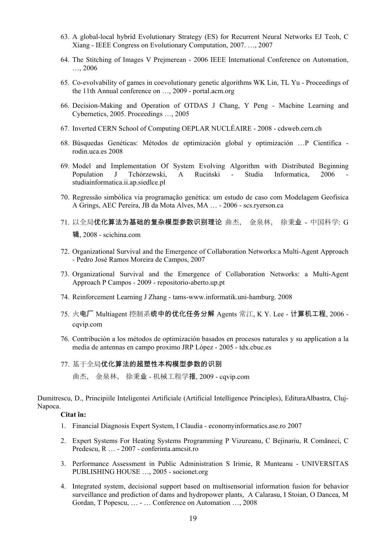- 63. A global-local hybrid Evolutionary Strategy (ES) for Recurrent Neural Networks EJ Teoh, C Xiang - IEEE Congress on Evolutionary Computation, 2007. …, 2007
- 64. The Stitching of Images V Prejmerean 2006 IEEE International Conference on Automation, …, 2006
- 65. [Co-evolvability of games in coevolutionary genetic algorithms](http://portal.acm.org/citation.cfm?id=1570208) WK Lin, TL Yu Proceedings of the 11th Annual conference on …, 2009 - portal.acm.org
- 66. Decision-Making and Operation of OTDAS J Chang, Y Peng Machine Learning and Cybernetics, 2005. Proceedings …, 2005
- 67. [Inverted CERN School of Computing](http://cdsweb.cern.ch/record/824911/files/cern-2008-002.pdf?version=1#page=79) OEPLAR NUCLÉAIRE 2008 cdsweb.cern.ch
- 68. [Búsquedas Genéticas: Métodos de optimización global y optimización …](http://rodin.uca.es:8081/xmlui/handle/10498/7422)P Científica rodin.uca.es 2008
- 69. Model and Implementation Of System Evolving Algorithm with Distributed Beginning Population J Tchórzewski, A Ruciński - Studia Informatica, 2006 studiainformatica.ii.ap.siedlce.pl
- 70. [Regressão simbólica via programação genética: um estudo de caso com Modelagem Geofisica](http://www.scs.ryerson.ca/m3santos/papers/teseGrings.pdf) A Grings, AEC Pereira, JB da Mota Alves, MA … - 2006 - scs.ryerson.ca
- 71. [以全局](http://www.scichina.com:8083/sciG/CN/article/downloadArticleFile.do?attachType=PDF&id=410281)[优化算法为基础的复杂模型参数识别理论](http://www.scichina.com:8083/sciG/CN/article/downloadArticleFile.do?attachType=PDF&id=410281) 曲杰, 金泉林, 徐秉业 中国科学: G 辑, 2008 - scichina.com
- 72. Organizational Survival and the Emergence of Collaboration Networks:a Multi-Agent Approach - Pedro José Ramos Moreira de Campos, 2007
- 73. [Organizational Survival and the Emergence of Collaboration Networks: a Multi-Agent](http://repositorio-aberto.up.pt/handle/10216/7354)  [Approach](http://repositorio-aberto.up.pt/handle/10216/7354) P Campos - 2009 - repositorio-aberto.up.pt
- 74. [Reinforcement Learning](http://tams-www.informatik.uni-hamburg.de/lehre/2008ss/vorlesung/Algorithmisches_Lernen/rl2.pdf) J Zhang tams-www.informatik.uni-hamburg. 2008
- 75. [火](http://www.cqvip.com/qk/95200x/2006005/21305996.html)电厂 [Multiagent](http://www.cqvip.com/qk/95200x/2006005/21305996.html) [控制系](http://www.cqvip.com/qk/95200x/2006005/21305996.html)[统中的优化任务分解](http://www.cqvip.com/qk/95200x/2006005/21305996.html) Agents 常江, K Y. Lee 计算机工程, 2006 cqvip.com
- 76. Contribución a los métodos de optimización basados en procesos naturales y su application a la media de antennas en campo proximo JRP López - 2005 - tdx.cbuc.es
- 77. [基于全局](http://www.cqvip.com/qk/90288x/2009006/30708750.html)[优化算法的超塑性本构模型参数的识别](http://www.cqvip.com/qk/90288x/2009006/30708750.html)

曲杰, 金泉林, 徐秉业 - 机械工程学报, 2009 - cqvip.com

Dumitrescu, D., Principiile Inteligentei Artificiale (Artificial Intelligence Principles), EdituraAlbastra, Cluj-Napoca.

#### **Citat în:**

- 1. [Financial Diagnosis Expert System,](http://www.economyinformatics.ase.ro/content/EN7/isac_claudia.pdf) I Claudia economyinformatics.ase.ro 2007
- 2. [Expert Systems For Heating Systems Programming](http://www.conferinta.amcsit.ro/cd/Lucrari/171.pdf) P Vizureanu, C Bejinariu, R Comăneci, C Predescu, R … - 2007 - conferinta.amcsit.ro
- 3. [Performance Assessment in Public Administration](http://socionet.org/d/repec:pet:annals:v:5:y:2005:p:169-172/http:/www.upet.ro/annals/pdf/Annals-2005.pdf#page=173) S Irimie, R Munteanu UNIVERSITAS PUBLISHING HOUSE …, 2005 - socionet.org
- 4. Integrated system, decisional support based on multisensorial information fusion for behavior surveillance and prediction of dams and hydropower plants, A Calarasu, I Stoian, O Dancea, M Gordan, T Popescu, … - … Conference on Automation …, 2008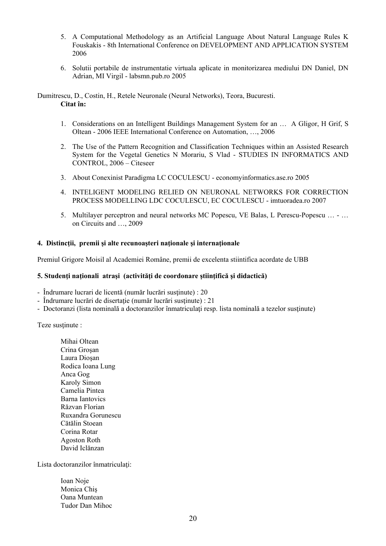- 5. [A Computational Methodology as an Artificial Language About Natural Language Rules](http://www.dasconference.ro/papers/2006/F13.pdf) K Fouskakis - 8th International Conference on DEVELOPMENT AND APPLICATION SYSTEM 2006
- 6. [Solutii portabile de instrumentatie virtuala aplicate in monitorizarea mediului](http://www.labsmn.pub.ro/Club/Prezentari/CNIV%202005/PDFs/01-05%20Daniel%20DUNEA.pdf) DN Daniel, DN Adrian, MI Virgil - labsmn.pub.ro 2005

Dumitrescu, D., Costin, H., Retele Neuronale (Neural Networks), Teora, Bucuresti. **Citat în:** 

- 1. Considerations on an Intelligent Buildings Management System for an … A Gligor, H Grif, S Oltean - 2006 IEEE International Conference on Automation, …, 2006
- 2. [The Use of the Pattern Recognition and Classification Techniques within an Assisted Research](http://citeseerx.ist.psu.edu/viewdoc/download?doi=10.1.1.127.9333&rep=rep1&type=pdf)  [System for the Vegetal Genetics N](http://citeseerx.ist.psu.edu/viewdoc/download?doi=10.1.1.127.9333&rep=rep1&type=pdf) Morariu, S Vlad - STUDIES IN INFORMATICS AND CONTROL, 2006 – Citeseer
- 3. [About Conexinist Paradigma](http://economyinformatics.ase.ro/content/EN5/coculescu.pdf) LC COCULESCU economyinformatics.ase.ro 2005
- 4. [INTELIGENT MODELING RELIED ON NEURONAL NETWORKS FOR CORRECTION](http://imtuoradea.ro/auo.fmte/files-2007/MIE_files/CRISTINA_COCULESCU_1.pdf)  [PROCESS MODELLING](http://imtuoradea.ro/auo.fmte/files-2007/MIE_files/CRISTINA_COCULESCU_1.pdf) LDC COCULESCU, EC COCULESCU - imtuoradea.ro 2007
- 5. [Multilayer perceptron and neural networks](http://portal.acm.org/citation.cfm?id=1639542) MC Popescu, VE Balas, L Perescu-Popescu … … on Circuits and …, 2009

## **4. Distincţii, premii şi alte recunoaşteri naţionale şi internaţionale**

Premiul Grigore Moisil al Academiei Române, premii de excelenta stiintifica acordate de UBB

## **5. Studenţi naţionali atraşi (activităţi de coordonare ştiinţifică şi didactică)**

- Îndrumare lucrari de licentă (număr lucrări susţinute) : 20
- Îndrumare lucrări de disertaţie (număr lucrări susţinute) : 21
- Doctoranzi (lista nominală a doctoranzilor înmatriculați resp. lista nominală a tezelor susținute)

Teze sustinute :

 Mihai Oltean Crina Groşan Laura Dioşan Rodica Ioana Lung Anca Gog Karoly Simon Camelia Pintea Barna Iantovics Răzvan Florian Ruxandra Gorunescu Cătălin Stoean Corina Rotar Agoston Roth David Iclănzan

Lista doctoranzilor înmatriculaţi:

| Ioan Noje              |
|------------------------|
| Monica Chis            |
| Oana Muntean           |
| <b>Tudor Dan Mihoc</b> |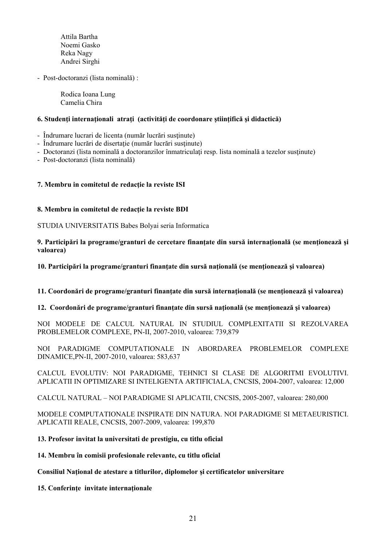Attila Bartha Noemi Gasko Reka Nagy Andrei Sirghi

- Post-doctoranzi (lista nominală) :

 Rodica Ioana Lung Camelia Chira

## **6. Studenţi internaţionali atraţi (activităţi de coordonare ştiinţifică şi didactică)**

- Îndrumare lucrari de licenta (număr lucrări susţinute)
- Îndrumare lucrări de disertație (număr lucrări susținute)
- Doctoranzi (lista nominală a doctoranzilor înmatriculaţi resp. lista nominală a tezelor susţinute)
- Post-doctoranzi (lista nominală)

## **7. Membru in comitetul de redacţie la reviste ISI**

#### **8. Membru in comitetul de redacţie la reviste BDI**

STUDIA UNIVERSITATIS Babes Bolyai seria Informatica

## **9. Participări la programe/granturi de cercetare finanţate din sursă internaţională (se menţionează şi valoarea)**

**10. Participări la programe/granturi finanţate din sursă naţională (se menţionează şi valoarea)** 

#### **11. Coordonări de programe/granturi finanţate din sursă internaţională (se menţionează şi valoarea)**

**12. Coordonări de programe/granturi finanţate din sursă naţională (se menţionează şi valoarea)** 

NOI MODELE DE CALCUL NATURAL IN STUDIUL COMPLEXITATII SI REZOLVAREA PROBLEMELOR COMPLEXE, PN-II, 2007-2010, valoarea: 739,879

NOI PARADIGME COMPUTATIONALE IN ABORDAREA PROBLEMELOR COMPLEXE DINAMICE,PN-II, 2007-2010, valoarea: 583,637

CALCUL EVOLUTIV: NOI PARADIGME, TEHNICI SI CLASE DE ALGORITMI EVOLUTIVI. APLICATII IN OPTIMIZARE SI INTELIGENTA ARTIFICIALA, CNCSIS, 2004-2007, valoarea: 12,000

CALCUL NATURAL – NOI PARADIGME SI APLICATII, CNCSIS, 2005-2007, valoarea: 280,000

MODELE COMPUTATIONALE INSPIRATE DIN NATURA. NOI PARADIGME SI METAEURISTICI. APLICATII REALE, CNCSIS, 2007-2009, valoarea: 199,870

#### **13. Profesor invitat la universitati de prestigiu, cu titlu oficial**

**14. Membru în comisii profesionale relevante, cu titlu oficial** 

## **Consiliul Naţional de atestare a titlurilor, diplomelor şi certificatelor universitare**

**15. Conferinţe invitate internaţionale**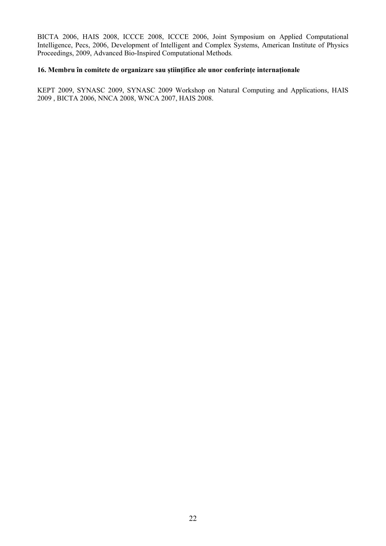BICTA 2006, HAIS 2008, ICCCE 2008, ICCCE 2006, Joint Symposium on Applied Computational Intelligence, Pecs, 2006, Development of Intelligent and Complex Systems, American Institute of Physics Proceedings, 2009, Advanced Bio-Inspired Computational Methods*.*

## **16. Membru în comitete de organizare sau ştiinţifice ale unor conferinţe internaţionale**

KEPT 2009, SYNASC 2009, SYNASC 2009 Workshop on Natural Computing and Applications, HAIS 2009 , BICTA 2006, NNCA 2008, WNCA 2007, HAIS 2008.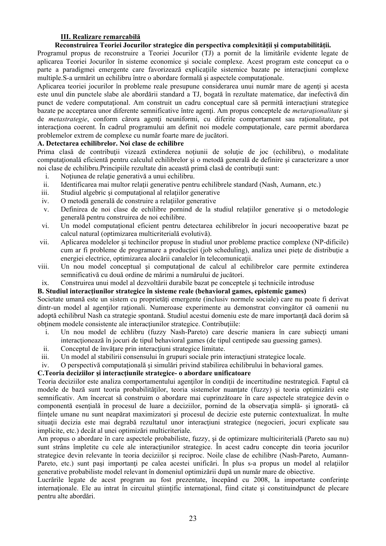## **III. Realizare remarcabilă**

## **Reconstruirea Teoriei Jocurilor strategice din perspectiva complexităţii şi computabilităţii.**

Programul propus de reconstruire a Teoriei Jocurilor (TJ) a pornit de la limitările evidente legate de aplicarea Teoriei Jocurilor în sisteme economice şi sociale complexe. Acest program este conceput ca o parte a paradigmei emergente care favorizează explicațiile sistemice bazate pe interacțiuni complexe multiple. S-a urmărit un echilibru între o abordare formală și aspectele computationale.

Aplicarea teoriei jocurilor în probleme reale presupune considerarea unui număr mare de agenti și acesta este unul din punctele slabe ale abordării standard a TJ, bogată în rezultate matematice, dar inefectivă din punct de vedere computational. Am construit un cadru conceptual care să permită interactiuni strategice bazate pe acceptarea unor diferente semnificative între agenti. Am propus conceptele de *metarationalitate* si de *metastrategie*, conform cărora agenți neuniformi, cu diferite comportament sau raționalitate, pot interactiona coerent. În cadrul programului am definit noi modele computationale, care permit abordarea problemelor extrem de complexe cu număr foarte mare de jucători.

## **A. Detectarea echilibrelor. Noi clase de echilibre**

Prima clasă de contribuții vizează extinderea noțiunii de soluție de joc (echilibru), o modalitate computațională eficientă pentru calculul echilibrelor și o metodă generală de definire și caracterizare a unor noi clase de echilibru.Principiile rezultate din această primă clasă de contribuţii sunt:

- i. Notiunea de relatie generativă a unui echilibru.
- ii. Identificarea mai multor relaţii generative pentru echilibrele standard (Nash, Aumann, etc.)
- iii. Studiul algebric si computational al relatiilor generative
- iv. O metodă generală de construire a relaţiilor generative
- v. Definirea de noi clase de echilibre pornind de la studiul relaţiilor generative şi o metodologie generală pentru construirea de noi echilibre.
- vi. Un model computational eficient pentru detectarea echilibrelor în jocuri necooperative bazat pe calcul natural (optimizarea multicriterială evolutivă).
- vii. Aplicarea modelelor şi techincilor propuse în studiul unor probleme practice complexe (NP-dificile) cum ar fi probleme de programare a producției (job scheduling), analiza unei piețe de distribuție a energiei electrice, optimizarea alocării canalelor în telecomunicații.
- viii. Un nou model conceptual si computational de calcul al echilibrelor care permite extinderea semnificativă cu două ordine de mărimi a numărului de jucători.
- ix. Construirea unui model al dezvoltării durabile bazat pe conceptele şi technicile introduse

## **B. Studiul interacţiunilor strategice în sisteme reale (behavioral games, epistemic games)**

Societate umană este un sistem cu proprietăţi emergente (inclusiv normele sociale) care nu poate fi derivat dintr-un model al agenților raționali. Numeroase experimente au demonstrat convingător că oamenii nu adoptă echilibrul Nash ca strategie spontană. Studiul acestui domeniu este de mare importanță dacă dorim să obtinem modele consistente ale interacțiunilor strategice. Contribuțiile:

- i. Un nou model de echlibru (fuzzy Nash-Pareto) care descrie maniera în care subiecţi umani interactionează în jocuri de tipul behavioral games (de tipul centipede sau guessing games).
- ii. Conceptul de învătare prin interactiuni strategice limitate.
- iii. Un model al stabilirii consensului în grupuri sociale prin interactiuni strategice locale.
- iv. O perspectivă computaţională şi simulări privind stabilirea echilibrului în behavioral games.

## **C.Teoria deciziilor şi interacţiunile strategice- o abordare unificatoare**

Teoria deciziilor este analiza comportamentului agentilor în conditii de incertitudine nestrategică. Faptul că modele de bază sunt teoria probabilităților, teoria sistemelor nuanțate (fuzzy) și teoria optimizării este semnificativ. Am încercat să construim o abordare mai cuprinzătoare în care aspectele strategice devin o componentă esentială în procesul de luare a deciziilor, pornind de la observatia simplă- și ignorată- că fiintele umane nu sunt neapărat maximizatori și procesul de decizie este puternic contextualizat. În multe situații decizia este mai degrabă rezultatul unor interacțiuni strategice (negocieri, jocuri explicate sau implicite, etc.) decât al unei optimizări multicriteriale.

Am propus o abordare în care aspectele probabiliste, fuzzy, şi de optimizare multiciriterială (Pareto sau nu) sunt strâns împletite cu cele ale interacțiunilor strategice. În acest cadru concepte din teoria jocurilor strategice devin relevante în teoria deciziilor și reciproc. Noile clase de echilibre (Nash-Pareto, Aumann-Pareto, etc.) sunt pași importanți pe calea acestei unificări. În plus s-a propus un model al relațiilor generative probabiliste model relevant în domeniul optimizării după un număr mare de obiective.

Lucrările legate de acest program au fost prezentate, începând cu 2008, la importante conferințe internationale. Ele au intrat în circuitul stiințific internațional, fiind citate și constituindpunct de plecare pentru alte abordări.